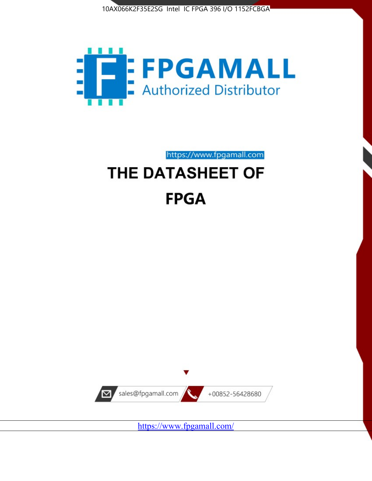



https://www.fpgamall.com

# THE DATASHEET OF **FPGA**



<https://www.fpgamall.com/>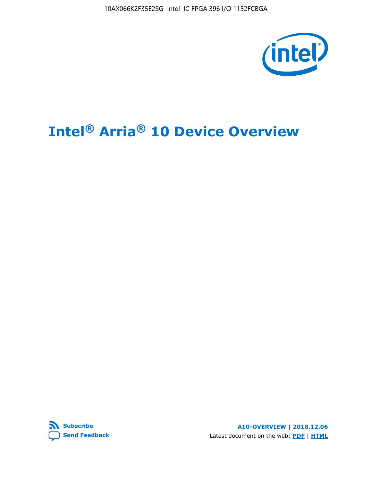10AX066K2F35E2SG Intel IC FPGA 396 I/O 1152FCBGA



# **Intel® Arria® 10 Device Overview**



**A10-OVERVIEW | 2018.12.06** Latest document on the web: **[PDF](https://www.intel.com/content/dam/www/programmable/us/en/pdfs/literature/hb/arria-10/a10_overview.pdf)** | **[HTML](https://www.intel.com/content/www/us/en/programmable/documentation/sam1403480274650.html)**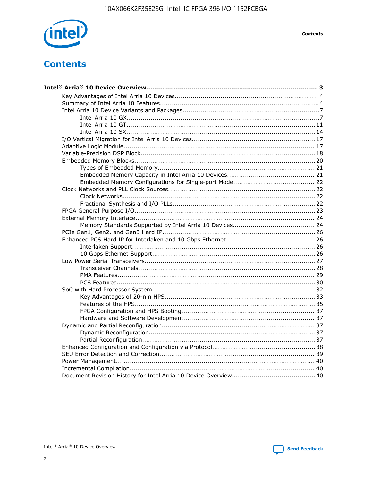

**Contents** 

# **Contents**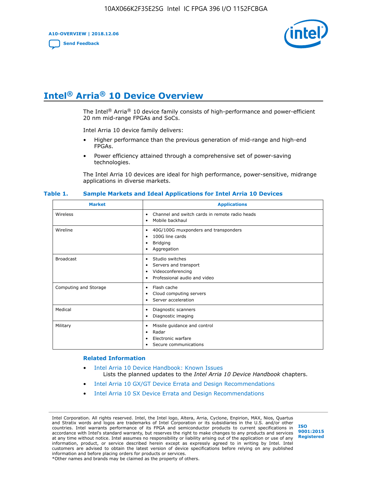**A10-OVERVIEW | 2018.12.06**

**[Send Feedback](mailto:FPGAtechdocfeedback@intel.com?subject=Feedback%20on%20Intel%20Arria%2010%20Device%20Overview%20(A10-OVERVIEW%202018.12.06)&body=We%20appreciate%20your%20feedback.%20In%20your%20comments,%20also%20specify%20the%20page%20number%20or%20paragraph.%20Thank%20you.)**



# **Intel® Arria® 10 Device Overview**

The Intel<sup>®</sup> Arria<sup>®</sup> 10 device family consists of high-performance and power-efficient 20 nm mid-range FPGAs and SoCs.

Intel Arria 10 device family delivers:

- Higher performance than the previous generation of mid-range and high-end FPGAs.
- Power efficiency attained through a comprehensive set of power-saving technologies.

The Intel Arria 10 devices are ideal for high performance, power-sensitive, midrange applications in diverse markets.

| <b>Market</b>         | <b>Applications</b>                                                                                               |
|-----------------------|-------------------------------------------------------------------------------------------------------------------|
| Wireless              | Channel and switch cards in remote radio heads<br>٠<br>Mobile backhaul<br>٠                                       |
| Wireline              | 40G/100G muxponders and transponders<br>٠<br>100G line cards<br>٠<br><b>Bridging</b><br>٠<br>Aggregation<br>٠     |
| <b>Broadcast</b>      | Studio switches<br>٠<br>Servers and transport<br>٠<br>Videoconferencing<br>٠<br>Professional audio and video<br>٠ |
| Computing and Storage | Flash cache<br>٠<br>Cloud computing servers<br>٠<br>Server acceleration<br>٠                                      |
| Medical               | Diagnostic scanners<br>٠<br>Diagnostic imaging<br>٠                                                               |
| Military              | Missile guidance and control<br>٠<br>Radar<br>٠<br>Electronic warfare<br>٠<br>Secure communications<br>٠          |

#### **Table 1. Sample Markets and Ideal Applications for Intel Arria 10 Devices**

#### **Related Information**

- [Intel Arria 10 Device Handbook: Known Issues](http://www.altera.com/support/kdb/solutions/rd07302013_646.html) Lists the planned updates to the *Intel Arria 10 Device Handbook* chapters.
- [Intel Arria 10 GX/GT Device Errata and Design Recommendations](https://www.intel.com/content/www/us/en/programmable/documentation/agz1493851706374.html#yqz1494433888646)
- [Intel Arria 10 SX Device Errata and Design Recommendations](https://www.intel.com/content/www/us/en/programmable/documentation/cru1462832385668.html#cru1462832558642)

Intel Corporation. All rights reserved. Intel, the Intel logo, Altera, Arria, Cyclone, Enpirion, MAX, Nios, Quartus and Stratix words and logos are trademarks of Intel Corporation or its subsidiaries in the U.S. and/or other countries. Intel warrants performance of its FPGA and semiconductor products to current specifications in accordance with Intel's standard warranty, but reserves the right to make changes to any products and services at any time without notice. Intel assumes no responsibility or liability arising out of the application or use of any information, product, or service described herein except as expressly agreed to in writing by Intel. Intel customers are advised to obtain the latest version of device specifications before relying on any published information and before placing orders for products or services. \*Other names and brands may be claimed as the property of others.

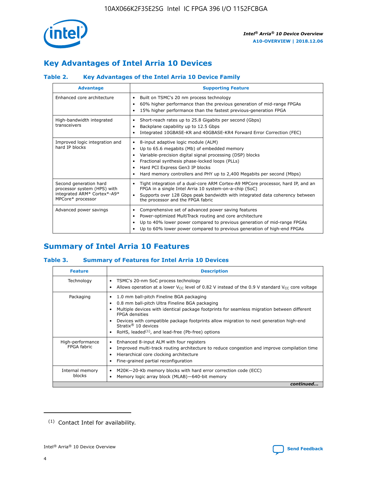

# **Key Advantages of Intel Arria 10 Devices**

## **Table 2. Key Advantages of the Intel Arria 10 Device Family**

| <b>Advantage</b>                                                                                          | <b>Supporting Feature</b>                                                                                                                                                                                                                                                                                                |
|-----------------------------------------------------------------------------------------------------------|--------------------------------------------------------------------------------------------------------------------------------------------------------------------------------------------------------------------------------------------------------------------------------------------------------------------------|
| Enhanced core architecture                                                                                | Built on TSMC's 20 nm process technology<br>٠<br>60% higher performance than the previous generation of mid-range FPGAs<br>٠<br>15% higher performance than the fastest previous-generation FPGA<br>٠                                                                                                                    |
| High-bandwidth integrated<br>transceivers                                                                 | Short-reach rates up to 25.8 Gigabits per second (Gbps)<br>٠<br>Backplane capability up to 12.5 Gbps<br>٠<br>Integrated 10GBASE-KR and 40GBASE-KR4 Forward Error Correction (FEC)<br>٠                                                                                                                                   |
| Improved logic integration and<br>hard IP blocks                                                          | 8-input adaptive logic module (ALM)<br>٠<br>Up to 65.6 megabits (Mb) of embedded memory<br>٠<br>Variable-precision digital signal processing (DSP) blocks<br>Fractional synthesis phase-locked loops (PLLs)<br>Hard PCI Express Gen3 IP blocks<br>Hard memory controllers and PHY up to 2,400 Megabits per second (Mbps) |
| Second generation hard<br>processor system (HPS) with<br>integrated ARM* Cortex*-A9*<br>MPCore* processor | Tight integration of a dual-core ARM Cortex-A9 MPCore processor, hard IP, and an<br>٠<br>FPGA in a single Intel Arria 10 system-on-a-chip (SoC)<br>Supports over 128 Gbps peak bandwidth with integrated data coherency between<br>$\bullet$<br>the processor and the FPGA fabric                                        |
| Advanced power savings                                                                                    | Comprehensive set of advanced power saving features<br>٠<br>Power-optimized MultiTrack routing and core architecture<br>٠<br>Up to 40% lower power compared to previous generation of mid-range FPGAs<br>Up to 60% lower power compared to previous generation of high-end FPGAs                                         |

# **Summary of Intel Arria 10 Features**

## **Table 3. Summary of Features for Intel Arria 10 Devices**

| <b>Feature</b>                  | <b>Description</b>                                                                                                                                                                                                                                                                                                                                                                                       |
|---------------------------------|----------------------------------------------------------------------------------------------------------------------------------------------------------------------------------------------------------------------------------------------------------------------------------------------------------------------------------------------------------------------------------------------------------|
| Technology                      | TSMC's 20-nm SoC process technology<br>٠<br>Allows operation at a lower $V_{\text{CC}}$ level of 0.82 V instead of the 0.9 V standard $V_{\text{CC}}$ core voltage                                                                                                                                                                                                                                       |
| Packaging                       | 1.0 mm ball-pitch Fineline BGA packaging<br>0.8 mm ball-pitch Ultra Fineline BGA packaging<br>Multiple devices with identical package footprints for seamless migration between different<br><b>FPGA</b> densities<br>Devices with compatible package footprints allow migration to next generation high-end<br>Stratix $\mathcal{R}$ 10 devices<br>RoHS, leaded $(1)$ , and lead-free (Pb-free) options |
| High-performance<br>FPGA fabric | Enhanced 8-input ALM with four registers<br>٠<br>Improved multi-track routing architecture to reduce congestion and improve compilation time<br>Hierarchical core clocking architecture<br>Fine-grained partial reconfiguration                                                                                                                                                                          |
| Internal memory<br>blocks       | M20K-20-Kb memory blocks with hard error correction code (ECC)<br>Memory logic array block (MLAB)-640-bit memory                                                                                                                                                                                                                                                                                         |
|                                 | continued                                                                                                                                                                                                                                                                                                                                                                                                |



<sup>(1)</sup> Contact Intel for availability.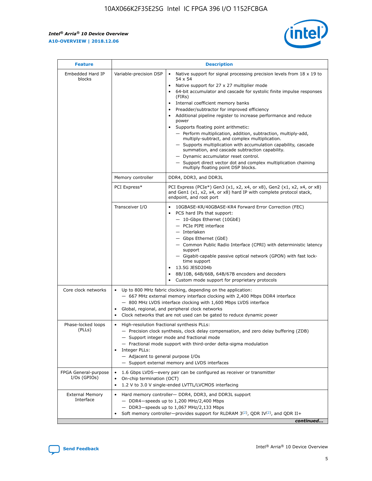$\mathbf{r}$ 



| <b>Feature</b>                         | <b>Description</b>                                                                                             |                                                                                                                                                                                                                                                                                                                                                                                                                                                                                                                                                                                                                                                                                                                                                                                                                                                                  |  |  |  |  |  |  |
|----------------------------------------|----------------------------------------------------------------------------------------------------------------|------------------------------------------------------------------------------------------------------------------------------------------------------------------------------------------------------------------------------------------------------------------------------------------------------------------------------------------------------------------------------------------------------------------------------------------------------------------------------------------------------------------------------------------------------------------------------------------------------------------------------------------------------------------------------------------------------------------------------------------------------------------------------------------------------------------------------------------------------------------|--|--|--|--|--|--|
| Embedded Hard IP<br>blocks             | Variable-precision DSP                                                                                         | Native support for signal processing precision levels from $18 \times 19$ to<br>$\bullet$<br>54 x 54<br>Native support for 27 x 27 multiplier mode<br>$\bullet$<br>64-bit accumulator and cascade for systolic finite impulse responses<br>(FIRs)<br>Internal coefficient memory banks<br>$\bullet$<br>Preadder/subtractor for improved efficiency<br>Additional pipeline register to increase performance and reduce<br>power<br>Supports floating point arithmetic:<br>- Perform multiplication, addition, subtraction, multiply-add,<br>multiply-subtract, and complex multiplication.<br>- Supports multiplication with accumulation capability, cascade<br>summation, and cascade subtraction capability.<br>- Dynamic accumulator reset control.<br>- Support direct vector dot and complex multiplication chaining<br>multiply floating point DSP blocks. |  |  |  |  |  |  |
|                                        | Memory controller                                                                                              | DDR4, DDR3, and DDR3L                                                                                                                                                                                                                                                                                                                                                                                                                                                                                                                                                                                                                                                                                                                                                                                                                                            |  |  |  |  |  |  |
|                                        | PCI Express*                                                                                                   | PCI Express (PCIe*) Gen3 (x1, x2, x4, or x8), Gen2 (x1, x2, x4, or x8)<br>and Gen1 (x1, x2, x4, or x8) hard IP with complete protocol stack,<br>endpoint, and root port                                                                                                                                                                                                                                                                                                                                                                                                                                                                                                                                                                                                                                                                                          |  |  |  |  |  |  |
|                                        | Transceiver I/O                                                                                                | 10GBASE-KR/40GBASE-KR4 Forward Error Correction (FEC)<br>PCS hard IPs that support:<br>- 10-Gbps Ethernet (10GbE)<br>- PCIe PIPE interface<br>- Interlaken<br>- Gbps Ethernet (GbE)<br>- Common Public Radio Interface (CPRI) with deterministic latency<br>support<br>- Gigabit-capable passive optical network (GPON) with fast lock-<br>time support<br>13.5G JESD204b<br>$\bullet$<br>8B/10B, 64B/66B, 64B/67B encoders and decoders<br>Custom mode support for proprietary protocols                                                                                                                                                                                                                                                                                                                                                                        |  |  |  |  |  |  |
| Core clock networks                    | $\bullet$                                                                                                      | Up to 800 MHz fabric clocking, depending on the application:<br>- 667 MHz external memory interface clocking with 2,400 Mbps DDR4 interface<br>- 800 MHz LVDS interface clocking with 1,600 Mbps LVDS interface<br>Global, regional, and peripheral clock networks<br>Clock networks that are not used can be gated to reduce dynamic power                                                                                                                                                                                                                                                                                                                                                                                                                                                                                                                      |  |  |  |  |  |  |
| Phase-locked loops<br>(PLLs)           | High-resolution fractional synthesis PLLs:<br>$\bullet$<br>Integer PLLs:<br>- Adjacent to general purpose I/Os | - Precision clock synthesis, clock delay compensation, and zero delay buffering (ZDB)<br>- Support integer mode and fractional mode<br>- Fractional mode support with third-order delta-sigma modulation<br>- Support external memory and LVDS interfaces                                                                                                                                                                                                                                                                                                                                                                                                                                                                                                                                                                                                        |  |  |  |  |  |  |
| FPGA General-purpose<br>$I/Os$ (GPIOs) | On-chip termination (OCT)<br>$\bullet$                                                                         | 1.6 Gbps LVDS-every pair can be configured as receiver or transmitter                                                                                                                                                                                                                                                                                                                                                                                                                                                                                                                                                                                                                                                                                                                                                                                            |  |  |  |  |  |  |
| <b>External Memory</b><br>Interface    | $\bullet$                                                                                                      | 1.2 V to 3.0 V single-ended LVTTL/LVCMOS interfacing<br>Hard memory controller- DDR4, DDR3, and DDR3L support<br>$-$ DDR4-speeds up to 1,200 MHz/2,400 Mbps<br>- DDR3-speeds up to 1,067 MHz/2,133 Mbps<br>Soft memory controller—provides support for RLDRAM $3^{(2)}$ , QDR IV $^{(2)}$ , and QDR II+<br>continued                                                                                                                                                                                                                                                                                                                                                                                                                                                                                                                                             |  |  |  |  |  |  |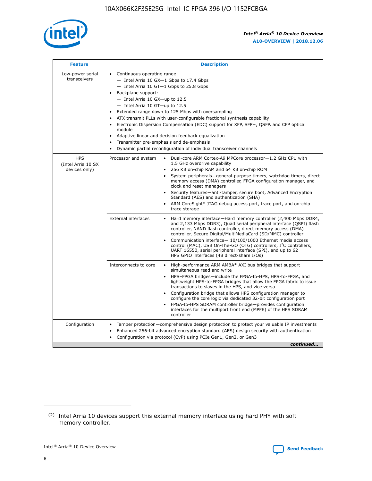

| <b>Feature</b>                                    | <b>Description</b>                                                                                                                                                                                                                                                                                                                                                                                                                                                                                                                                                                                                                             |  |  |  |  |  |  |  |  |
|---------------------------------------------------|------------------------------------------------------------------------------------------------------------------------------------------------------------------------------------------------------------------------------------------------------------------------------------------------------------------------------------------------------------------------------------------------------------------------------------------------------------------------------------------------------------------------------------------------------------------------------------------------------------------------------------------------|--|--|--|--|--|--|--|--|
| Low-power serial<br>transceivers                  | • Continuous operating range:<br>- Intel Arria 10 GX-1 Gbps to 17.4 Gbps<br>- Intel Arria 10 GT-1 Gbps to 25.8 Gbps<br>Backplane support:<br>$-$ Intel Arria 10 GX-up to 12.5<br>$-$ Intel Arria 10 GT-up to 12.5<br>Extended range down to 125 Mbps with oversampling<br>ATX transmit PLLs with user-configurable fractional synthesis capability<br>• Electronic Dispersion Compensation (EDC) support for XFP, SFP+, QSFP, and CFP optical<br>module<br>• Adaptive linear and decision feedback equalization<br>Transmitter pre-emphasis and de-emphasis<br>$\bullet$<br>Dynamic partial reconfiguration of individual transceiver channels |  |  |  |  |  |  |  |  |
| <b>HPS</b><br>(Intel Arria 10 SX<br>devices only) | Processor and system<br>Dual-core ARM Cortex-A9 MPCore processor-1.2 GHz CPU with<br>$\bullet$<br>1.5 GHz overdrive capability<br>256 KB on-chip RAM and 64 KB on-chip ROM<br>$\bullet$<br>System peripherals-general-purpose timers, watchdog timers, direct<br>memory access (DMA) controller, FPGA configuration manager, and<br>clock and reset managers<br>• Security features—anti-tamper, secure boot, Advanced Encryption<br>Standard (AES) and authentication (SHA)<br>ARM CoreSight* JTAG debug access port, trace port, and on-chip<br>trace storage                                                                                |  |  |  |  |  |  |  |  |
|                                                   | <b>External interfaces</b><br>Hard memory interface—Hard memory controller (2,400 Mbps DDR4,<br>$\bullet$<br>and 2,133 Mbps DDR3), Quad serial peripheral interface (QSPI) flash<br>controller, NAND flash controller, direct memory access (DMA)<br>controller, Secure Digital/MultiMediaCard (SD/MMC) controller<br>Communication interface-10/100/1000 Ethernet media access<br>control (MAC), USB On-The-GO (OTG) controllers, I <sup>2</sup> C controllers,<br>UART 16550, serial peripheral interface (SPI), and up to 62<br>HPS GPIO interfaces (48 direct-share I/Os)                                                                  |  |  |  |  |  |  |  |  |
|                                                   | High-performance ARM AMBA* AXI bus bridges that support<br>Interconnects to core<br>$\bullet$<br>simultaneous read and write<br>HPS-FPGA bridges—include the FPGA-to-HPS, HPS-to-FPGA, and<br>$\bullet$<br>lightweight HPS-to-FPGA bridges that allow the FPGA fabric to issue<br>transactions to slaves in the HPS, and vice versa<br>Configuration bridge that allows HPS configuration manager to<br>configure the core logic via dedicated 32-bit configuration port<br>FPGA-to-HPS SDRAM controller bridge-provides configuration<br>interfaces for the multiport front end (MPFE) of the HPS SDRAM<br>controller                         |  |  |  |  |  |  |  |  |
| Configuration                                     | Tamper protection—comprehensive design protection to protect your valuable IP investments<br>Enhanced 256-bit advanced encryption standard (AES) design security with authentication<br>$\bullet$<br>Configuration via protocol (CvP) using PCIe Gen1, Gen2, or Gen3<br>continued                                                                                                                                                                                                                                                                                                                                                              |  |  |  |  |  |  |  |  |

<sup>(2)</sup> Intel Arria 10 devices support this external memory interface using hard PHY with soft memory controller.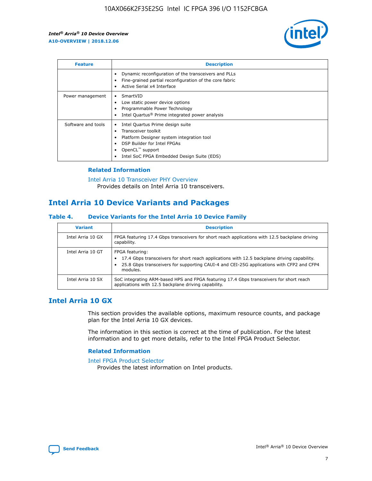

| <b>Feature</b>     | <b>Description</b>                                                                                                                                                                                               |
|--------------------|------------------------------------------------------------------------------------------------------------------------------------------------------------------------------------------------------------------|
|                    | Dynamic reconfiguration of the transceivers and PLLs<br>Fine-grained partial reconfiguration of the core fabric<br>Active Serial x4 Interface<br>$\bullet$                                                       |
| Power management   | SmartVID<br>$\bullet$<br>Low static power device options<br>Programmable Power Technology<br>Intel Quartus <sup>®</sup> Prime integrated power analysis                                                          |
| Software and tools | Intel Quartus Prime design suite<br>Transceiver toolkit<br>Platform Designer system integration tool<br>DSP Builder for Intel FPGAs<br>OpenCL <sup>™</sup> support<br>Intel SoC FPGA Embedded Design Suite (EDS) |

## **Related Information**

[Intel Arria 10 Transceiver PHY Overview](https://www.intel.com/content/www/us/en/programmable/documentation/nik1398707230472.html#nik1398706768037) Provides details on Intel Arria 10 transceivers.

# **Intel Arria 10 Device Variants and Packages**

#### **Table 4. Device Variants for the Intel Arria 10 Device Family**

| <b>Variant</b>    | <b>Description</b>                                                                                                                                                                                                     |
|-------------------|------------------------------------------------------------------------------------------------------------------------------------------------------------------------------------------------------------------------|
| Intel Arria 10 GX | FPGA featuring 17.4 Gbps transceivers for short reach applications with 12.5 backplane driving<br>capability.                                                                                                          |
| Intel Arria 10 GT | FPGA featuring:<br>17.4 Gbps transceivers for short reach applications with 12.5 backplane driving capability.<br>25.8 Gbps transceivers for supporting CAUI-4 and CEI-25G applications with CFP2 and CFP4<br>modules. |
| Intel Arria 10 SX | SoC integrating ARM-based HPS and FPGA featuring 17.4 Gbps transceivers for short reach<br>applications with 12.5 backplane driving capability.                                                                        |

## **Intel Arria 10 GX**

This section provides the available options, maximum resource counts, and package plan for the Intel Arria 10 GX devices.

The information in this section is correct at the time of publication. For the latest information and to get more details, refer to the Intel FPGA Product Selector.

## **Related Information**

#### [Intel FPGA Product Selector](http://www.altera.com/products/selector/psg-selector.html) Provides the latest information on Intel products.

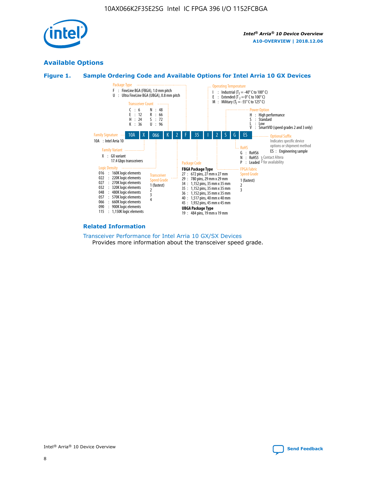

## **Available Options**





#### **Related Information**

[Transceiver Performance for Intel Arria 10 GX/SX Devices](https://www.intel.com/content/www/us/en/programmable/documentation/mcn1413182292568.html#mcn1413213965502) Provides more information about the transceiver speed grade.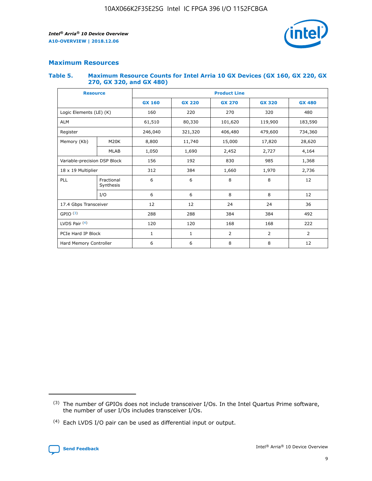

## **Maximum Resources**

#### **Table 5. Maximum Resource Counts for Intel Arria 10 GX Devices (GX 160, GX 220, GX 270, GX 320, and GX 480)**

| <b>Resource</b>              |                         | <b>Product Line</b> |                                |                    |                |                |  |  |  |
|------------------------------|-------------------------|---------------------|--------------------------------|--------------------|----------------|----------------|--|--|--|
|                              |                         | <b>GX 160</b>       | <b>GX 220</b><br><b>GX 270</b> |                    | <b>GX 320</b>  | <b>GX 480</b>  |  |  |  |
| Logic Elements (LE) (K)      |                         | 160                 | 220<br>270                     |                    | 320            | 480            |  |  |  |
| <b>ALM</b>                   |                         | 61,510              | 80,330                         | 101,620            | 119,900        | 183,590        |  |  |  |
| Register                     |                         | 246,040             | 321,320                        | 406,480<br>479,600 |                | 734,360        |  |  |  |
| Memory (Kb)                  | M <sub>20</sub> K       | 8,800               | 11,740                         | 15,000             | 17,820         | 28,620         |  |  |  |
|                              | <b>MLAB</b>             | 1,050               | 1,690<br>2,452                 |                    | 2,727          | 4,164          |  |  |  |
| Variable-precision DSP Block |                         | 156                 | 192                            | 830                | 985            | 1,368          |  |  |  |
| 18 x 19 Multiplier           |                         | 312                 | 384                            | 1,660<br>1,970     |                | 2,736          |  |  |  |
| PLL                          | Fractional<br>Synthesis | 6                   | 6                              | 8                  | 8              | 12             |  |  |  |
|                              | I/O                     | 6                   | 6                              | 8                  | 8              | 12             |  |  |  |
| 17.4 Gbps Transceiver        |                         | 12                  | 12                             | 24                 | 24             | 36             |  |  |  |
| GPIO <sup>(3)</sup>          |                         | 288                 | 288                            | 384                | 384            | 492            |  |  |  |
| LVDS Pair $(4)$              |                         | 120                 | 120                            | 168                | 168            | 222            |  |  |  |
| PCIe Hard IP Block           |                         | $\mathbf{1}$        | 1                              | $\overline{2}$     | $\overline{2}$ | $\overline{2}$ |  |  |  |
| Hard Memory Controller       |                         | 6                   | 6                              | 8                  | 8              |                |  |  |  |

<sup>(4)</sup> Each LVDS I/O pair can be used as differential input or output.



<sup>(3)</sup> The number of GPIOs does not include transceiver I/Os. In the Intel Quartus Prime software, the number of user I/Os includes transceiver I/Os.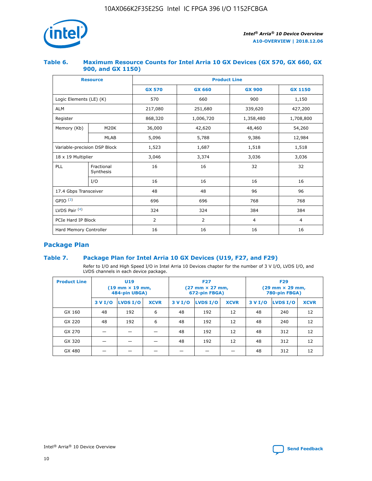

## **Table 6. Maximum Resource Counts for Intel Arria 10 GX Devices (GX 570, GX 660, GX 900, and GX 1150)**

|                              | <b>Resource</b>         | <b>Product Line</b> |                |                |                |  |  |  |
|------------------------------|-------------------------|---------------------|----------------|----------------|----------------|--|--|--|
|                              |                         | <b>GX 570</b>       | <b>GX 660</b>  | <b>GX 900</b>  | <b>GX 1150</b> |  |  |  |
| Logic Elements (LE) (K)      |                         | 570                 | 660            | 900            | 1,150          |  |  |  |
| <b>ALM</b>                   |                         | 217,080             | 251,680        | 339,620        | 427,200        |  |  |  |
| Register                     |                         | 868,320             | 1,006,720      |                | 1,708,800      |  |  |  |
| Memory (Kb)                  | <b>M20K</b>             | 36,000              | 42,620         | 48,460         | 54,260         |  |  |  |
|                              | <b>MLAB</b>             | 5,096               | 5,788          | 9,386          | 12,984         |  |  |  |
| Variable-precision DSP Block |                         | 1,523               | 1,687          | 1,518          | 1,518          |  |  |  |
| $18 \times 19$ Multiplier    |                         | 3,046               | 3,374          | 3,036          | 3,036          |  |  |  |
| PLL                          | Fractional<br>Synthesis | 16                  | 16             | 32             | 32             |  |  |  |
|                              | I/O                     | 16                  | 16             | 16             | 16             |  |  |  |
| 17.4 Gbps Transceiver        |                         | 48                  | 48<br>96       |                | 96             |  |  |  |
| GPIO <sup>(3)</sup>          |                         | 696                 | 696            | 768            | 768            |  |  |  |
| LVDS Pair $(4)$              |                         | 324                 | 324            | 384            | 384            |  |  |  |
| PCIe Hard IP Block           |                         | 2                   | $\overline{2}$ | $\overline{4}$ | 4              |  |  |  |
| Hard Memory Controller       |                         | 16                  | 16             | 16             | 16             |  |  |  |

## **Package Plan**

## **Table 7. Package Plan for Intel Arria 10 GX Devices (U19, F27, and F29)**

Refer to I/O and High Speed I/O in Intel Arria 10 Devices chapter for the number of 3 V I/O, LVDS I/O, and LVDS channels in each device package.

| <b>Product Line</b> | <b>U19</b><br>$(19 \text{ mm} \times 19 \text{ mm})$<br>484-pin UBGA) |          |             |         | <b>F27</b><br>(27 mm × 27 mm,<br>672-pin FBGA) |             | <b>F29</b><br>(29 mm × 29 mm,<br>780-pin FBGA) |          |             |  |
|---------------------|-----------------------------------------------------------------------|----------|-------------|---------|------------------------------------------------|-------------|------------------------------------------------|----------|-------------|--|
|                     | 3 V I/O                                                               | LVDS I/O | <b>XCVR</b> | 3 V I/O | LVDS I/O                                       | <b>XCVR</b> | 3 V I/O                                        | LVDS I/O | <b>XCVR</b> |  |
| GX 160              | 48                                                                    | 192      | 6           | 48      | 192                                            | 12          | 48                                             | 240      | 12          |  |
| GX 220              | 48                                                                    | 192      | 6           | 48      | 192                                            | 12          | 48                                             | 240      | 12          |  |
| GX 270              |                                                                       |          |             | 48      | 192                                            | 12          | 48                                             | 312      | 12          |  |
| GX 320              |                                                                       |          |             | 48      | 192                                            | 12          | 48                                             | 312      | 12          |  |
| GX 480              |                                                                       |          |             |         |                                                |             | 48                                             | 312      | 12          |  |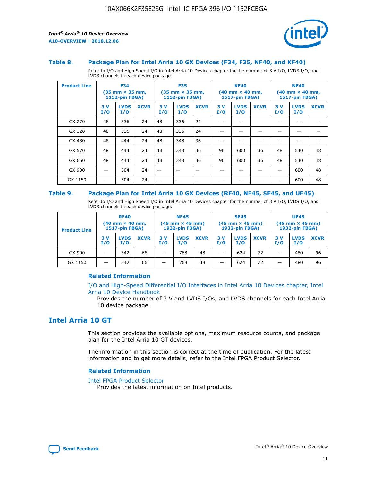

#### **Table 8. Package Plan for Intel Arria 10 GX Devices (F34, F35, NF40, and KF40)**

Refer to I/O and High Speed I/O in Intel Arria 10 Devices chapter for the number of 3 V I/O, LVDS I/O, and LVDS channels in each device package.

| <b>Product Line</b> | <b>F34</b><br>$(35 \text{ mm} \times 35 \text{ mm})$<br>1152-pin FBGA) |                    | <b>F35</b><br>$(35 \text{ mm} \times 35 \text{ mm})$<br><b>1152-pin FBGA)</b> |           | <b>KF40</b><br>$(40$ mm $\times$ 40 mm,<br>1517-pin FBGA) |             |           | <b>NF40</b><br>$(40$ mm $\times$ 40 mm,<br><b>1517-pin FBGA)</b> |             |            |                    |             |
|---------------------|------------------------------------------------------------------------|--------------------|-------------------------------------------------------------------------------|-----------|-----------------------------------------------------------|-------------|-----------|------------------------------------------------------------------|-------------|------------|--------------------|-------------|
|                     | 3V<br>I/O                                                              | <b>LVDS</b><br>I/O | <b>XCVR</b>                                                                   | 3V<br>I/O | <b>LVDS</b><br>I/O                                        | <b>XCVR</b> | 3V<br>I/O | <b>LVDS</b><br>I/O                                               | <b>XCVR</b> | 3 V<br>I/O | <b>LVDS</b><br>I/O | <b>XCVR</b> |
| GX 270              | 48                                                                     | 336                | 24                                                                            | 48        | 336                                                       | 24          |           |                                                                  |             |            |                    |             |
| GX 320              | 48                                                                     | 336                | 24                                                                            | 48        | 336                                                       | 24          |           |                                                                  |             |            |                    |             |
| GX 480              | 48                                                                     | 444                | 24                                                                            | 48        | 348                                                       | 36          |           |                                                                  |             |            |                    |             |
| GX 570              | 48                                                                     | 444                | 24                                                                            | 48        | 348                                                       | 36          | 96        | 600                                                              | 36          | 48         | 540                | 48          |
| GX 660              | 48                                                                     | 444                | 24                                                                            | 48        | 348                                                       | 36          | 96        | 600                                                              | 36          | 48         | 540                | 48          |
| GX 900              |                                                                        | 504                | 24                                                                            | -         |                                                           |             |           |                                                                  |             |            | 600                | 48          |
| GX 1150             |                                                                        | 504                | 24                                                                            |           |                                                           |             |           |                                                                  |             |            | 600                | 48          |

#### **Table 9. Package Plan for Intel Arria 10 GX Devices (RF40, NF45, SF45, and UF45)**

Refer to I/O and High Speed I/O in Intel Arria 10 Devices chapter for the number of 3 V I/O, LVDS I/O, and LVDS channels in each device package.

| <b>Product Line</b> | <b>RF40</b><br>$(40$ mm $\times$ 40 mm,<br>1517-pin FBGA) |                    | <b>NF45</b><br>$(45 \text{ mm} \times 45 \text{ mm})$<br><b>1932-pin FBGA)</b> |            |                    | <b>SF45</b><br>$(45 \text{ mm} \times 45 \text{ mm})$<br><b>1932-pin FBGA)</b> |            |                    | <b>UF45</b><br>$(45 \text{ mm} \times 45 \text{ mm})$<br><b>1932-pin FBGA)</b> |           |                    |             |
|---------------------|-----------------------------------------------------------|--------------------|--------------------------------------------------------------------------------|------------|--------------------|--------------------------------------------------------------------------------|------------|--------------------|--------------------------------------------------------------------------------|-----------|--------------------|-------------|
|                     | 3V<br>I/O                                                 | <b>LVDS</b><br>I/O | <b>XCVR</b>                                                                    | 3 V<br>I/O | <b>LVDS</b><br>I/O | <b>XCVR</b>                                                                    | 3 V<br>I/O | <b>LVDS</b><br>I/O | <b>XCVR</b>                                                                    | 3V<br>I/O | <b>LVDS</b><br>I/O | <b>XCVR</b> |
| GX 900              |                                                           | 342                | 66                                                                             | _          | 768                | 48                                                                             |            | 624                | 72                                                                             |           | 480                | 96          |
| GX 1150             |                                                           | 342                | 66                                                                             | _          | 768                | 48                                                                             |            | 624                | 72                                                                             |           | 480                | 96          |

## **Related Information**

[I/O and High-Speed Differential I/O Interfaces in Intel Arria 10 Devices chapter, Intel](https://www.intel.com/content/www/us/en/programmable/documentation/sam1403482614086.html#sam1403482030321) [Arria 10 Device Handbook](https://www.intel.com/content/www/us/en/programmable/documentation/sam1403482614086.html#sam1403482030321)

Provides the number of 3 V and LVDS I/Os, and LVDS channels for each Intel Arria 10 device package.

## **Intel Arria 10 GT**

This section provides the available options, maximum resource counts, and package plan for the Intel Arria 10 GT devices.

The information in this section is correct at the time of publication. For the latest information and to get more details, refer to the Intel FPGA Product Selector.

#### **Related Information**

#### [Intel FPGA Product Selector](http://www.altera.com/products/selector/psg-selector.html)

Provides the latest information on Intel products.

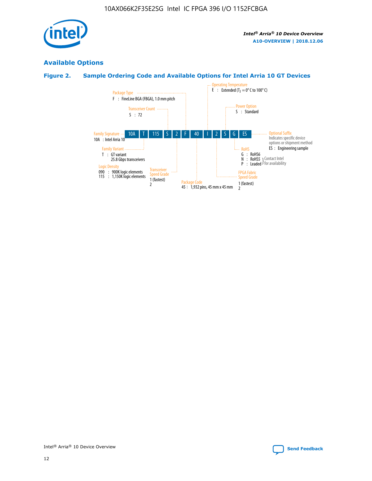

## **Available Options**

## **Figure 2. Sample Ordering Code and Available Options for Intel Arria 10 GT Devices**

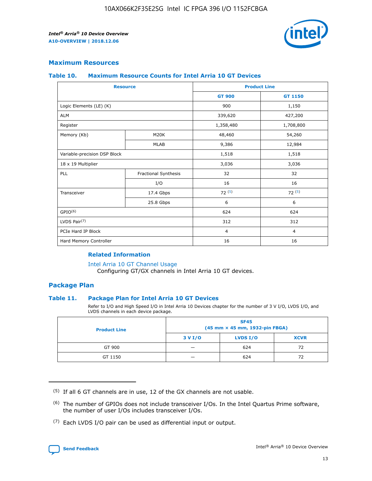

## **Maximum Resources**

#### **Table 10. Maximum Resource Counts for Intel Arria 10 GT Devices**

| <b>Resource</b>              |                      |                | <b>Product Line</b> |  |
|------------------------------|----------------------|----------------|---------------------|--|
|                              |                      | <b>GT 900</b>  | GT 1150             |  |
| Logic Elements (LE) (K)      |                      | 900            | 1,150               |  |
| <b>ALM</b>                   |                      | 339,620        | 427,200             |  |
| Register                     |                      | 1,358,480      | 1,708,800           |  |
| Memory (Kb)                  | M <sub>20</sub> K    | 48,460         | 54,260              |  |
|                              | <b>MLAB</b>          | 9,386          | 12,984              |  |
| Variable-precision DSP Block |                      | 1,518          | 1,518               |  |
| 18 x 19 Multiplier           |                      | 3,036          | 3,036               |  |
| PLL                          | Fractional Synthesis | 32             | 32                  |  |
|                              | I/O                  | 16             | 16                  |  |
| Transceiver                  | 17.4 Gbps            | 72(5)          | 72(5)               |  |
|                              | 25.8 Gbps            | 6              | 6                   |  |
| GPIO <sup>(6)</sup>          |                      | 624            | 624                 |  |
| LVDS Pair $(7)$              |                      | 312            | 312                 |  |
| PCIe Hard IP Block           |                      | $\overline{4}$ | $\overline{4}$      |  |
| Hard Memory Controller       |                      | 16             | 16                  |  |

## **Related Information**

#### [Intel Arria 10 GT Channel Usage](https://www.intel.com/content/www/us/en/programmable/documentation/nik1398707230472.html#nik1398707008178)

Configuring GT/GX channels in Intel Arria 10 GT devices.

## **Package Plan**

## **Table 11. Package Plan for Intel Arria 10 GT Devices**

Refer to I/O and High Speed I/O in Intel Arria 10 Devices chapter for the number of 3 V I/O, LVDS I/O, and LVDS channels in each device package.

| <b>Product Line</b> | <b>SF45</b><br>(45 mm × 45 mm, 1932-pin FBGA) |                 |             |  |  |  |
|---------------------|-----------------------------------------------|-----------------|-------------|--|--|--|
|                     | 3 V I/O                                       | <b>LVDS I/O</b> | <b>XCVR</b> |  |  |  |
| GT 900              |                                               | 624             | 72          |  |  |  |
| GT 1150             |                                               | 624             |             |  |  |  |

<sup>(7)</sup> Each LVDS I/O pair can be used as differential input or output.



 $(5)$  If all 6 GT channels are in use, 12 of the GX channels are not usable.

<sup>(6)</sup> The number of GPIOs does not include transceiver I/Os. In the Intel Quartus Prime software, the number of user I/Os includes transceiver I/Os.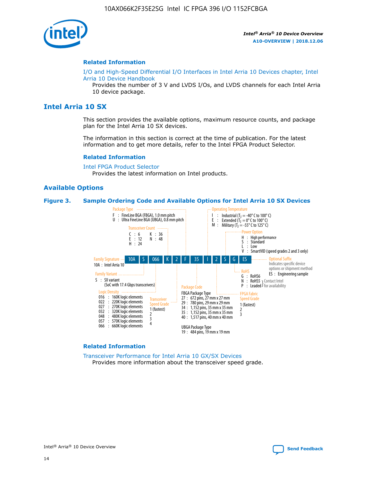

#### **Related Information**

[I/O and High-Speed Differential I/O Interfaces in Intel Arria 10 Devices chapter, Intel](https://www.intel.com/content/www/us/en/programmable/documentation/sam1403482614086.html#sam1403482030321) [Arria 10 Device Handbook](https://www.intel.com/content/www/us/en/programmable/documentation/sam1403482614086.html#sam1403482030321)

Provides the number of 3 V and LVDS I/Os, and LVDS channels for each Intel Arria 10 device package.

## **Intel Arria 10 SX**

This section provides the available options, maximum resource counts, and package plan for the Intel Arria 10 SX devices.

The information in this section is correct at the time of publication. For the latest information and to get more details, refer to the Intel FPGA Product Selector.

#### **Related Information**

[Intel FPGA Product Selector](http://www.altera.com/products/selector/psg-selector.html) Provides the latest information on Intel products.

## **Available Options**

#### **Figure 3. Sample Ordering Code and Available Options for Intel Arria 10 SX Devices**



#### **Related Information**

[Transceiver Performance for Intel Arria 10 GX/SX Devices](https://www.intel.com/content/www/us/en/programmable/documentation/mcn1413182292568.html#mcn1413213965502) Provides more information about the transceiver speed grade.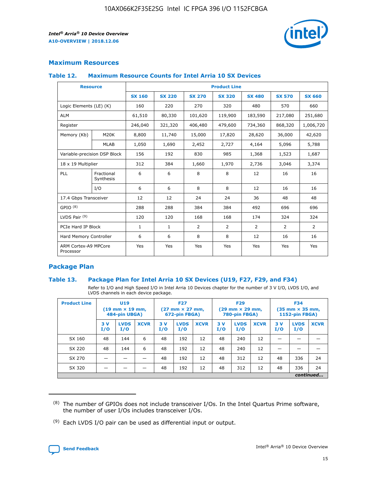

## **Maximum Resources**

## **Table 12. Maximum Resource Counts for Intel Arria 10 SX Devices**

| <b>Resource</b>                   |                         |               |               |                | <b>Product Line</b> |                |                |                |
|-----------------------------------|-------------------------|---------------|---------------|----------------|---------------------|----------------|----------------|----------------|
|                                   |                         | <b>SX 160</b> | <b>SX 220</b> | <b>SX 270</b>  | <b>SX 320</b>       | <b>SX 480</b>  | <b>SX 570</b>  | <b>SX 660</b>  |
| Logic Elements (LE) (K)           |                         | 160           | 220           | 270            | 320                 | 480            | 570            | 660            |
| <b>ALM</b>                        |                         | 61,510        | 80,330        | 101,620        | 119,900             | 183,590        | 217,080        | 251,680        |
| Register                          |                         | 246,040       | 321,320       | 406,480        | 479,600             | 734,360        | 868,320        | 1,006,720      |
| Memory (Kb)                       | M <sub>20</sub> K       | 8,800         | 11,740        | 15,000         | 17,820              | 28,620         | 36,000         | 42,620         |
|                                   | <b>MLAB</b>             | 1,050         | 1,690         | 2,452          | 2,727               | 4,164          | 5,096          | 5,788          |
| Variable-precision DSP Block      |                         | 156           | 192           | 830            | 985                 | 1,368          | 1,523          | 1,687          |
| 18 x 19 Multiplier                |                         | 312           | 384           | 1,660          | 1,970               | 2,736          | 3,046          | 3,374          |
| PLL                               | Fractional<br>Synthesis | 6             | 6             | 8              | 8                   | 12             | 16             | 16             |
|                                   | I/O                     | 6             | 6             | 8              | 8                   | 12             | 16             | 16             |
| 17.4 Gbps Transceiver             |                         | 12            | 12            | 24             | 24                  | 36             | 48             | 48             |
| GPIO <sup>(8)</sup>               |                         | 288           | 288           | 384            | 384                 | 492            | 696            | 696            |
| LVDS Pair $(9)$                   |                         | 120           | 120           | 168            | 168                 | 174            | 324            | 324            |
|                                   | PCIe Hard IP Block      |               | $\mathbf{1}$  | $\overline{2}$ | $\overline{2}$      | $\overline{2}$ | $\overline{2}$ | $\overline{2}$ |
| Hard Memory Controller            |                         | 6             | 6             | 8              | 8                   | 12             | 16             | 16             |
| ARM Cortex-A9 MPCore<br>Processor |                         | Yes           | Yes           | Yes            | Yes                 | Yes            | Yes            | <b>Yes</b>     |

## **Package Plan**

## **Table 13. Package Plan for Intel Arria 10 SX Devices (U19, F27, F29, and F34)**

Refer to I/O and High Speed I/O in Intel Arria 10 Devices chapter for the number of 3 V I/O, LVDS I/O, and LVDS channels in each device package.

| <b>Product Line</b> | U19<br>$(19 \text{ mm} \times 19 \text{ mm})$<br>484-pin UBGA) |                    | <b>F27</b><br>$(27 \text{ mm} \times 27 \text{ mm})$<br>672-pin FBGA) |           | <b>F29</b><br>$(29 \text{ mm} \times 29 \text{ mm})$<br>780-pin FBGA) |             |            | <b>F34</b><br>$(35 \text{ mm} \times 35 \text{ mm})$<br><b>1152-pin FBGA)</b> |             |           |                    |             |
|---------------------|----------------------------------------------------------------|--------------------|-----------------------------------------------------------------------|-----------|-----------------------------------------------------------------------|-------------|------------|-------------------------------------------------------------------------------|-------------|-----------|--------------------|-------------|
|                     | 3V<br>I/O                                                      | <b>LVDS</b><br>I/O | <b>XCVR</b>                                                           | 3V<br>I/O | <b>LVDS</b><br>I/O                                                    | <b>XCVR</b> | 3 V<br>I/O | <b>LVDS</b><br>I/O                                                            | <b>XCVR</b> | 3V<br>I/O | <b>LVDS</b><br>I/O | <b>XCVR</b> |
| SX 160              | 48                                                             | 144                | 6                                                                     | 48        | 192                                                                   | 12          | 48         | 240                                                                           | 12          | –         |                    |             |
| SX 220              | 48                                                             | 144                | 6                                                                     | 48        | 192                                                                   | 12          | 48         | 240                                                                           | 12          |           |                    |             |
| SX 270              |                                                                |                    |                                                                       | 48        | 192                                                                   | 12          | 48         | 312                                                                           | 12          | 48        | 336                | 24          |
| SX 320              |                                                                |                    |                                                                       | 48        | 192                                                                   | 12          | 48         | 312                                                                           | 12          | 48        | 336                | 24          |
|                     | continued                                                      |                    |                                                                       |           |                                                                       |             |            |                                                                               |             |           |                    |             |

 $(8)$  The number of GPIOs does not include transceiver I/Os. In the Intel Quartus Prime software, the number of user I/Os includes transceiver I/Os.

 $(9)$  Each LVDS I/O pair can be used as differential input or output.

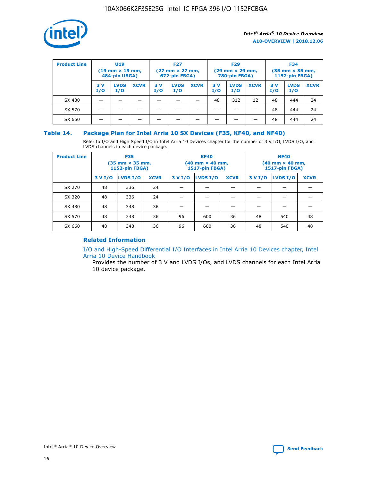

| <b>Product Line</b> | U <sub>19</sub><br>$(19 \text{ mm} \times 19 \text{ mm})$<br>484-pin UBGA) |                    | <b>F27</b><br>$(27 \text{ mm} \times 27 \text{ mm})$<br>672-pin FBGA) |           |                    | <b>F29</b><br>$(29 \text{ mm} \times 29 \text{ mm})$<br>780-pin FBGA) |           |                    | <b>F34</b><br>$(35$ mm $\times$ 35 mm,<br><b>1152-pin FBGA)</b> |           |                    |             |
|---------------------|----------------------------------------------------------------------------|--------------------|-----------------------------------------------------------------------|-----------|--------------------|-----------------------------------------------------------------------|-----------|--------------------|-----------------------------------------------------------------|-----------|--------------------|-------------|
|                     | 3V<br>I/O                                                                  | <b>LVDS</b><br>I/O | <b>XCVR</b>                                                           | 3V<br>I/O | <b>LVDS</b><br>I/O | <b>XCVR</b>                                                           | 3V<br>I/O | <b>LVDS</b><br>I/O | <b>XCVR</b>                                                     | 3V<br>I/O | <b>LVDS</b><br>I/O | <b>XCVR</b> |
| SX 480              |                                                                            |                    |                                                                       |           |                    |                                                                       | 48        | 312                | 12                                                              | 48        | 444                | 24          |
| SX 570              |                                                                            |                    |                                                                       |           |                    |                                                                       |           |                    |                                                                 | 48        | 444                | 24          |
| SX 660              |                                                                            |                    |                                                                       |           |                    |                                                                       |           |                    |                                                                 | 48        | 444                | 24          |

## **Table 14. Package Plan for Intel Arria 10 SX Devices (F35, KF40, and NF40)**

Refer to I/O and High Speed I/O in Intel Arria 10 Devices chapter for the number of 3 V I/O, LVDS I/O, and LVDS channels in each device package.

| <b>Product Line</b> | <b>F35</b><br>$(35 \text{ mm} \times 35 \text{ mm})$<br><b>1152-pin FBGA)</b> |          |             |                                           | <b>KF40</b><br>(40 mm × 40 mm,<br>1517-pin FBGA) |    | <b>NF40</b><br>$(40 \text{ mm} \times 40 \text{ mm})$<br>1517-pin FBGA) |          |             |  |
|---------------------|-------------------------------------------------------------------------------|----------|-------------|-------------------------------------------|--------------------------------------------------|----|-------------------------------------------------------------------------|----------|-------------|--|
|                     | 3 V I/O                                                                       | LVDS I/O | <b>XCVR</b> | <b>LVDS I/O</b><br><b>XCVR</b><br>3 V I/O |                                                  |    | 3 V I/O                                                                 | LVDS I/O | <b>XCVR</b> |  |
| SX 270              | 48                                                                            | 336      | 24          |                                           |                                                  |    |                                                                         |          |             |  |
| SX 320              | 48                                                                            | 336      | 24          |                                           |                                                  |    |                                                                         |          |             |  |
| SX 480              | 48                                                                            | 348      | 36          |                                           |                                                  |    |                                                                         |          |             |  |
| SX 570              | 48                                                                            | 348      | 36          | 96                                        | 600                                              | 36 | 48                                                                      | 540      | 48          |  |
| SX 660              | 48                                                                            | 348      | 36          | 96                                        | 600                                              | 36 | 48                                                                      | 540      | 48          |  |

## **Related Information**

[I/O and High-Speed Differential I/O Interfaces in Intel Arria 10 Devices chapter, Intel](https://www.intel.com/content/www/us/en/programmable/documentation/sam1403482614086.html#sam1403482030321) [Arria 10 Device Handbook](https://www.intel.com/content/www/us/en/programmable/documentation/sam1403482614086.html#sam1403482030321)

Provides the number of 3 V and LVDS I/Os, and LVDS channels for each Intel Arria 10 device package.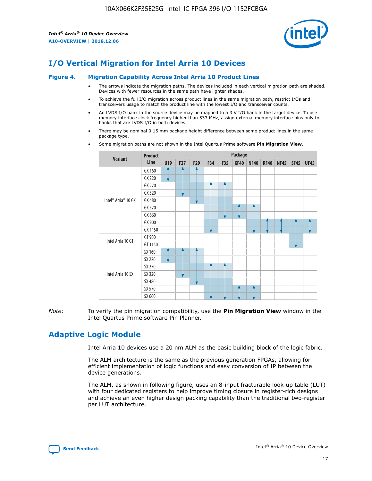

# **I/O Vertical Migration for Intel Arria 10 Devices**

#### **Figure 4. Migration Capability Across Intel Arria 10 Product Lines**

- The arrows indicate the migration paths. The devices included in each vertical migration path are shaded. Devices with fewer resources in the same path have lighter shades.
- To achieve the full I/O migration across product lines in the same migration path, restrict I/Os and transceivers usage to match the product line with the lowest I/O and transceiver counts.
- An LVDS I/O bank in the source device may be mapped to a 3 V I/O bank in the target device. To use memory interface clock frequency higher than 533 MHz, assign external memory interface pins only to banks that are LVDS I/O in both devices.
- There may be nominal 0.15 mm package height difference between some product lines in the same package type.
	- **Variant Product Line Package U19 F27 F29 F34 F35 KF40 NF40 RF40 NF45 SF45 UF45** Intel® Arria® 10 GX GX 160 GX 220 GX 270 GX 320 GX 480 GX 570 GX 660 GX 900 GX 1150 Intel Arria 10 GT GT 900 GT 1150 Intel Arria 10 SX SX 160 SX 220 SX 270 SX 320 SX 480 SX 570 SX 660
- Some migration paths are not shown in the Intel Quartus Prime software **Pin Migration View**.

*Note:* To verify the pin migration compatibility, use the **Pin Migration View** window in the Intel Quartus Prime software Pin Planner.

# **Adaptive Logic Module**

Intel Arria 10 devices use a 20 nm ALM as the basic building block of the logic fabric.

The ALM architecture is the same as the previous generation FPGAs, allowing for efficient implementation of logic functions and easy conversion of IP between the device generations.

The ALM, as shown in following figure, uses an 8-input fracturable look-up table (LUT) with four dedicated registers to help improve timing closure in register-rich designs and achieve an even higher design packing capability than the traditional two-register per LUT architecture.

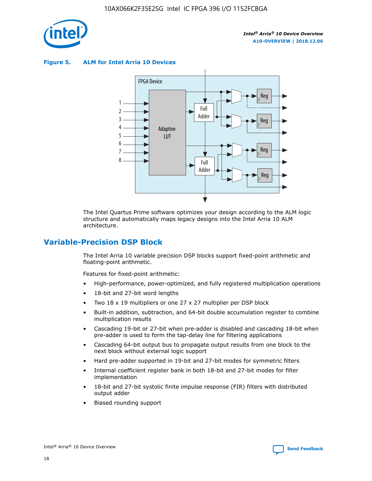

**Figure 5. ALM for Intel Arria 10 Devices**



The Intel Quartus Prime software optimizes your design according to the ALM logic structure and automatically maps legacy designs into the Intel Arria 10 ALM architecture.

## **Variable-Precision DSP Block**

The Intel Arria 10 variable precision DSP blocks support fixed-point arithmetic and floating-point arithmetic.

Features for fixed-point arithmetic:

- High-performance, power-optimized, and fully registered multiplication operations
- 18-bit and 27-bit word lengths
- Two 18 x 19 multipliers or one 27 x 27 multiplier per DSP block
- Built-in addition, subtraction, and 64-bit double accumulation register to combine multiplication results
- Cascading 19-bit or 27-bit when pre-adder is disabled and cascading 18-bit when pre-adder is used to form the tap-delay line for filtering applications
- Cascading 64-bit output bus to propagate output results from one block to the next block without external logic support
- Hard pre-adder supported in 19-bit and 27-bit modes for symmetric filters
- Internal coefficient register bank in both 18-bit and 27-bit modes for filter implementation
- 18-bit and 27-bit systolic finite impulse response (FIR) filters with distributed output adder
- Biased rounding support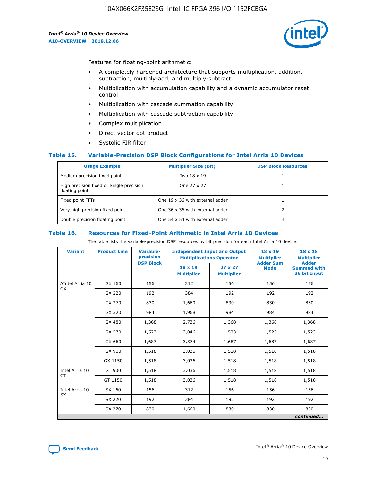

Features for floating-point arithmetic:

- A completely hardened architecture that supports multiplication, addition, subtraction, multiply-add, and multiply-subtract
- Multiplication with accumulation capability and a dynamic accumulator reset control
- Multiplication with cascade summation capability
- Multiplication with cascade subtraction capability
- Complex multiplication
- Direct vector dot product
- Systolic FIR filter

## **Table 15. Variable-Precision DSP Block Configurations for Intel Arria 10 Devices**

| <b>Usage Example</b>                                       | <b>Multiplier Size (Bit)</b>    | <b>DSP Block Resources</b> |
|------------------------------------------------------------|---------------------------------|----------------------------|
| Medium precision fixed point                               | Two 18 x 19                     |                            |
| High precision fixed or Single precision<br>floating point | One 27 x 27                     |                            |
| Fixed point FFTs                                           | One 19 x 36 with external adder |                            |
| Very high precision fixed point                            | One 36 x 36 with external adder |                            |
| Double precision floating point                            | One 54 x 54 with external adder | 4                          |

#### **Table 16. Resources for Fixed-Point Arithmetic in Intel Arria 10 Devices**

The table lists the variable-precision DSP resources by bit precision for each Intel Arria 10 device.

| <b>Variant</b>        | <b>Product Line</b> | Variable-<br>precision<br><b>DSP Block</b> | <b>Independent Input and Output</b><br><b>Multiplications Operator</b> |                                     | 18 x 19<br><b>Multiplier</b><br><b>Adder Sum</b> | $18 \times 18$<br><b>Multiplier</b><br><b>Adder</b> |
|-----------------------|---------------------|--------------------------------------------|------------------------------------------------------------------------|-------------------------------------|--------------------------------------------------|-----------------------------------------------------|
|                       |                     |                                            | 18 x 19<br><b>Multiplier</b>                                           | $27 \times 27$<br><b>Multiplier</b> | <b>Mode</b>                                      | <b>Summed with</b><br>36 bit Input                  |
| AIntel Arria 10<br>GX | GX 160              | 156                                        | 312                                                                    | 156                                 | 156                                              | 156                                                 |
|                       | GX 220              | 192                                        | 384                                                                    | 192                                 | 192                                              | 192                                                 |
|                       | GX 270              | 830                                        | 1,660                                                                  | 830                                 | 830                                              | 830                                                 |
|                       | GX 320              | 984                                        | 1,968                                                                  | 984                                 | 984                                              | 984                                                 |
|                       | GX 480              | 1,368                                      | 2,736                                                                  | 1,368                               | 1,368                                            | 1,368                                               |
|                       | GX 570              | 1,523                                      | 3,046                                                                  | 1,523                               | 1,523                                            | 1,523                                               |
|                       | GX 660              | 1,687                                      | 3,374                                                                  | 1,687                               | 1,687                                            | 1,687                                               |
|                       | GX 900              | 1,518                                      | 3,036                                                                  | 1,518                               | 1,518                                            | 1,518                                               |
|                       | GX 1150             | 1,518                                      | 3,036                                                                  | 1,518                               | 1,518                                            | 1,518                                               |
| Intel Arria 10        | GT 900              | 1,518                                      | 3,036                                                                  | 1,518                               | 1,518                                            | 1,518                                               |
| GT                    | GT 1150             | 1,518                                      | 3,036                                                                  | 1,518                               | 1,518                                            | 1,518                                               |
| Intel Arria 10        | SX 160              | 156                                        | 312                                                                    | 156                                 | 156                                              | 156                                                 |
| <b>SX</b>             | SX 220              | 192                                        | 384                                                                    | 192                                 | 192                                              | 192                                                 |
|                       | SX 270              | 830                                        | 830<br>1,660                                                           |                                     | 830                                              | 830                                                 |
|                       |                     |                                            |                                                                        |                                     |                                                  | continued                                           |

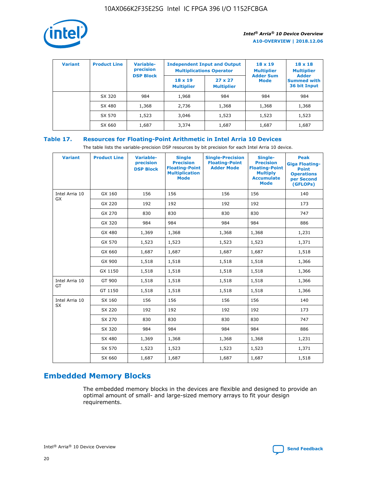

| <b>Variant</b> | <b>Product Line</b> | Variable-<br>precision | <b>Independent Input and Output</b><br><b>Multiplications Operator</b> |                                     | $18 \times 19$<br><b>Multiplier</b> | $18 \times 18$<br><b>Multiplier</b><br><b>Adder</b> |  |
|----------------|---------------------|------------------------|------------------------------------------------------------------------|-------------------------------------|-------------------------------------|-----------------------------------------------------|--|
|                |                     | <b>DSP Block</b>       | $18 \times 19$<br><b>Multiplier</b>                                    | $27 \times 27$<br><b>Multiplier</b> | <b>Adder Sum</b><br><b>Mode</b>     | <b>Summed with</b><br>36 bit Input                  |  |
|                | SX 320              | 984                    | 1,968                                                                  | 984                                 | 984                                 | 984                                                 |  |
|                | SX 480              | 1,368                  | 2,736                                                                  | 1,368                               | 1,368                               | 1,368                                               |  |
|                | SX 570              | 1,523                  | 3,046                                                                  | 1,523                               | 1,523                               | 1,523                                               |  |
|                | SX 660              | 1,687                  | 3,374                                                                  | 1,687                               | 1,687                               | 1,687                                               |  |

## **Table 17. Resources for Floating-Point Arithmetic in Intel Arria 10 Devices**

The table lists the variable-precision DSP resources by bit precision for each Intel Arria 10 device.

| <b>Variant</b> | <b>Product Line</b> | <b>Variable-</b><br>precision<br><b>DSP Block</b> | <b>Single</b><br><b>Precision</b><br><b>Floating-Point</b><br><b>Multiplication</b><br><b>Mode</b> | <b>Single-Precision</b><br><b>Floating-Point</b><br><b>Adder Mode</b> | Single-<br><b>Precision</b><br><b>Floating-Point</b><br><b>Multiply</b><br><b>Accumulate</b><br><b>Mode</b> | <b>Peak</b><br><b>Giga Floating-</b><br><b>Point</b><br><b>Operations</b><br>per Second<br>(GFLOPs) |
|----------------|---------------------|---------------------------------------------------|----------------------------------------------------------------------------------------------------|-----------------------------------------------------------------------|-------------------------------------------------------------------------------------------------------------|-----------------------------------------------------------------------------------------------------|
| Intel Arria 10 | GX 160              | 156                                               | 156                                                                                                | 156                                                                   | 156                                                                                                         | 140                                                                                                 |
| GX             | GX 220              | 192                                               | 192                                                                                                | 192                                                                   | 192                                                                                                         | 173                                                                                                 |
|                | GX 270              | 830                                               | 830                                                                                                | 830                                                                   | 830                                                                                                         | 747                                                                                                 |
|                | GX 320              | 984                                               | 984                                                                                                | 984                                                                   | 984                                                                                                         | 886                                                                                                 |
|                | GX 480              | 1,369                                             | 1,368                                                                                              | 1,368                                                                 | 1,368                                                                                                       | 1,231                                                                                               |
|                | GX 570              | 1,523                                             | 1,523                                                                                              | 1,523                                                                 | 1,523                                                                                                       | 1,371                                                                                               |
|                | GX 660              | 1,687                                             | 1,687                                                                                              | 1,687                                                                 | 1,687                                                                                                       | 1,518                                                                                               |
|                | GX 900              | 1,518                                             | 1,518                                                                                              | 1,518                                                                 | 1,518                                                                                                       | 1,366                                                                                               |
|                | GX 1150             | 1,518                                             | 1,518                                                                                              | 1,518                                                                 | 1,518                                                                                                       | 1,366                                                                                               |
| Intel Arria 10 | GT 900              | 1,518                                             | 1,518                                                                                              | 1,518                                                                 | 1,518                                                                                                       | 1,366                                                                                               |
| GT             | GT 1150             | 1,518                                             | 1,518                                                                                              | 1,518                                                                 | 1,518                                                                                                       | 1,366                                                                                               |
| Intel Arria 10 | SX 160              | 156                                               | 156                                                                                                | 156                                                                   | 156                                                                                                         | 140                                                                                                 |
| SX             | SX 220              | 192                                               | 192                                                                                                | 192                                                                   | 192                                                                                                         | 173                                                                                                 |
|                | SX 270              | 830                                               | 830                                                                                                | 830                                                                   | 830                                                                                                         | 747                                                                                                 |
|                | SX 320              | 984                                               | 984                                                                                                | 984                                                                   | 984                                                                                                         | 886                                                                                                 |
|                | SX 480              | 1,369                                             | 1,368                                                                                              | 1,368                                                                 | 1,368                                                                                                       | 1,231                                                                                               |
|                | SX 570              | 1,523                                             | 1,523                                                                                              | 1,523                                                                 | 1,523                                                                                                       | 1,371                                                                                               |
|                | SX 660              | 1,687                                             | 1,687                                                                                              | 1,687                                                                 | 1,687                                                                                                       | 1,518                                                                                               |

# **Embedded Memory Blocks**

The embedded memory blocks in the devices are flexible and designed to provide an optimal amount of small- and large-sized memory arrays to fit your design requirements.

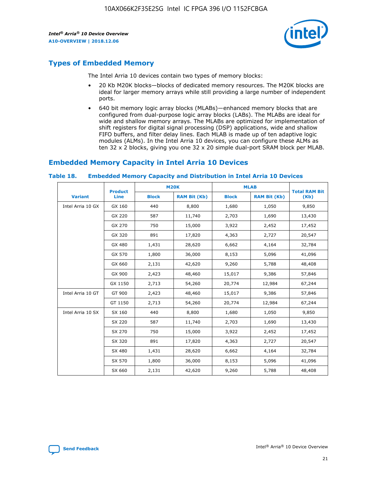

# **Types of Embedded Memory**

The Intel Arria 10 devices contain two types of memory blocks:

- 20 Kb M20K blocks—blocks of dedicated memory resources. The M20K blocks are ideal for larger memory arrays while still providing a large number of independent ports.
- 640 bit memory logic array blocks (MLABs)—enhanced memory blocks that are configured from dual-purpose logic array blocks (LABs). The MLABs are ideal for wide and shallow memory arrays. The MLABs are optimized for implementation of shift registers for digital signal processing (DSP) applications, wide and shallow FIFO buffers, and filter delay lines. Each MLAB is made up of ten adaptive logic modules (ALMs). In the Intel Arria 10 devices, you can configure these ALMs as ten 32 x 2 blocks, giving you one 32 x 20 simple dual-port SRAM block per MLAB.

# **Embedded Memory Capacity in Intel Arria 10 Devices**

|                   | <b>Product</b> |              | <b>M20K</b>         | <b>MLAB</b>  |                     | <b>Total RAM Bit</b> |
|-------------------|----------------|--------------|---------------------|--------------|---------------------|----------------------|
| <b>Variant</b>    | Line           | <b>Block</b> | <b>RAM Bit (Kb)</b> | <b>Block</b> | <b>RAM Bit (Kb)</b> | (Kb)                 |
| Intel Arria 10 GX | GX 160         | 440          | 8,800               | 1,680        | 1,050               | 9,850                |
|                   | GX 220         | 587          | 11,740              | 2,703        | 1,690               | 13,430               |
|                   | GX 270         | 750          | 15,000              | 3,922        | 2,452               | 17,452               |
|                   | GX 320         | 891          | 17,820              | 4,363        | 2,727               | 20,547               |
|                   | GX 480         | 1,431        | 28,620              | 6,662        | 4,164               | 32,784               |
|                   | GX 570         | 1,800        | 36,000              | 8,153        | 5,096               | 41,096               |
|                   | GX 660         | 2,131        | 42,620              | 9,260        | 5,788               | 48,408               |
|                   | GX 900         | 2,423        | 48,460              | 15,017       | 9,386               | 57,846               |
|                   | GX 1150        | 2,713        | 54,260              | 20,774       | 12,984              | 67,244               |
| Intel Arria 10 GT | GT 900         | 2,423        | 48,460              | 15,017       | 9,386               | 57,846               |
|                   | GT 1150        | 2,713        | 54,260              | 20,774       | 12,984              | 67,244               |
| Intel Arria 10 SX | SX 160         | 440          | 8,800               | 1,680        | 1,050               | 9,850                |
|                   | SX 220         | 587          | 11,740              | 2,703        | 1,690               | 13,430               |
|                   | SX 270         | 750          | 15,000              | 3,922        | 2,452               | 17,452               |
|                   | SX 320         | 891          | 17,820              | 4,363        | 2,727               | 20,547               |
|                   | SX 480         | 1,431        | 28,620              | 6,662        | 4,164               | 32,784               |
|                   | SX 570         | 1,800        | 36,000              | 8,153        | 5,096               | 41,096               |
|                   | SX 660         | 2,131        | 42,620              | 9,260        | 5,788               | 48,408               |

#### **Table 18. Embedded Memory Capacity and Distribution in Intel Arria 10 Devices**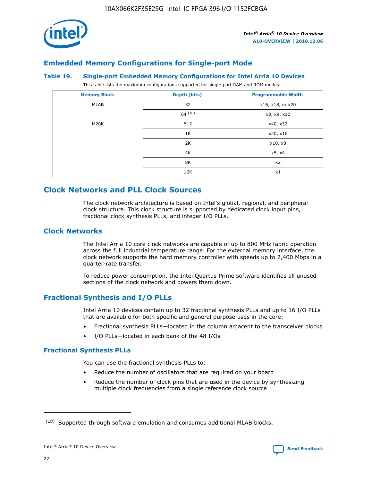

## **Embedded Memory Configurations for Single-port Mode**

#### **Table 19. Single-port Embedded Memory Configurations for Intel Arria 10 Devices**

This table lists the maximum configurations supported for single-port RAM and ROM modes.

| <b>Memory Block</b> | Depth (bits) | <b>Programmable Width</b> |
|---------------------|--------------|---------------------------|
| MLAB                | 32           | x16, x18, or x20          |
|                     | 64(10)       | x8, x9, x10               |
| M20K                | 512          | x40, x32                  |
|                     | 1K           | x20, x16                  |
|                     | 2K           | x10, x8                   |
|                     | 4K           | x5, x4                    |
|                     | 8K           | x2                        |
|                     | 16K          | x1                        |

# **Clock Networks and PLL Clock Sources**

The clock network architecture is based on Intel's global, regional, and peripheral clock structure. This clock structure is supported by dedicated clock input pins, fractional clock synthesis PLLs, and integer I/O PLLs.

## **Clock Networks**

The Intel Arria 10 core clock networks are capable of up to 800 MHz fabric operation across the full industrial temperature range. For the external memory interface, the clock network supports the hard memory controller with speeds up to 2,400 Mbps in a quarter-rate transfer.

To reduce power consumption, the Intel Quartus Prime software identifies all unused sections of the clock network and powers them down.

## **Fractional Synthesis and I/O PLLs**

Intel Arria 10 devices contain up to 32 fractional synthesis PLLs and up to 16 I/O PLLs that are available for both specific and general purpose uses in the core:

- Fractional synthesis PLLs—located in the column adjacent to the transceiver blocks
- I/O PLLs—located in each bank of the 48 I/Os

## **Fractional Synthesis PLLs**

You can use the fractional synthesis PLLs to:

- Reduce the number of oscillators that are required on your board
- Reduce the number of clock pins that are used in the device by synthesizing multiple clock frequencies from a single reference clock source

<sup>(10)</sup> Supported through software emulation and consumes additional MLAB blocks.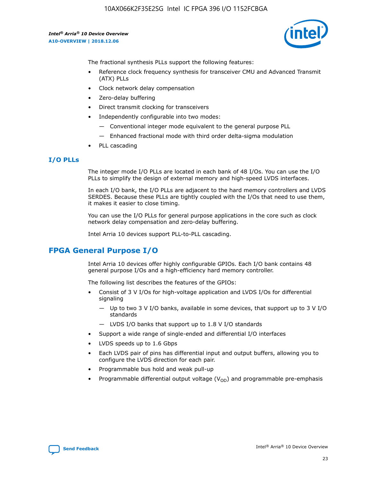10AX066K2F35E2SG Intel IC FPGA 396 I/O 1152FCBGA

*Intel® Arria® 10 Device Overview* **A10-OVERVIEW | 2018.12.06**



The fractional synthesis PLLs support the following features:

- Reference clock frequency synthesis for transceiver CMU and Advanced Transmit (ATX) PLLs
- Clock network delay compensation
- Zero-delay buffering
- Direct transmit clocking for transceivers
- Independently configurable into two modes:
	- Conventional integer mode equivalent to the general purpose PLL
	- Enhanced fractional mode with third order delta-sigma modulation
- PLL cascading

## **I/O PLLs**

The integer mode I/O PLLs are located in each bank of 48 I/Os. You can use the I/O PLLs to simplify the design of external memory and high-speed LVDS interfaces.

In each I/O bank, the I/O PLLs are adjacent to the hard memory controllers and LVDS SERDES. Because these PLLs are tightly coupled with the I/Os that need to use them, it makes it easier to close timing.

You can use the I/O PLLs for general purpose applications in the core such as clock network delay compensation and zero-delay buffering.

Intel Arria 10 devices support PLL-to-PLL cascading.

## **FPGA General Purpose I/O**

Intel Arria 10 devices offer highly configurable GPIOs. Each I/O bank contains 48 general purpose I/Os and a high-efficiency hard memory controller.

The following list describes the features of the GPIOs:

- Consist of 3 V I/Os for high-voltage application and LVDS I/Os for differential signaling
	- Up to two 3 V I/O banks, available in some devices, that support up to 3 V I/O standards
	- LVDS I/O banks that support up to 1.8 V I/O standards
- Support a wide range of single-ended and differential I/O interfaces
- LVDS speeds up to 1.6 Gbps
- Each LVDS pair of pins has differential input and output buffers, allowing you to configure the LVDS direction for each pair.
- Programmable bus hold and weak pull-up
- Programmable differential output voltage  $(V_{OD})$  and programmable pre-emphasis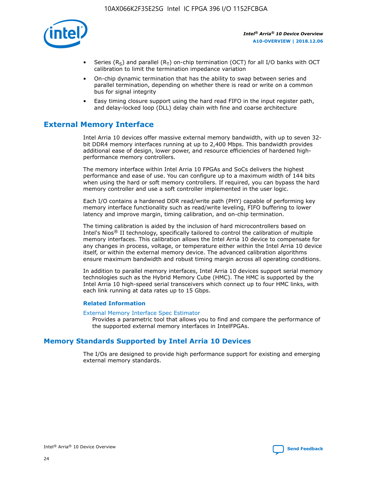

- Series (R<sub>S</sub>) and parallel (R<sub>T</sub>) on-chip termination (OCT) for all I/O banks with OCT calibration to limit the termination impedance variation
- On-chip dynamic termination that has the ability to swap between series and parallel termination, depending on whether there is read or write on a common bus for signal integrity
- Easy timing closure support using the hard read FIFO in the input register path, and delay-locked loop (DLL) delay chain with fine and coarse architecture

# **External Memory Interface**

Intel Arria 10 devices offer massive external memory bandwidth, with up to seven 32 bit DDR4 memory interfaces running at up to 2,400 Mbps. This bandwidth provides additional ease of design, lower power, and resource efficiencies of hardened highperformance memory controllers.

The memory interface within Intel Arria 10 FPGAs and SoCs delivers the highest performance and ease of use. You can configure up to a maximum width of 144 bits when using the hard or soft memory controllers. If required, you can bypass the hard memory controller and use a soft controller implemented in the user logic.

Each I/O contains a hardened DDR read/write path (PHY) capable of performing key memory interface functionality such as read/write leveling, FIFO buffering to lower latency and improve margin, timing calibration, and on-chip termination.

The timing calibration is aided by the inclusion of hard microcontrollers based on Intel's Nios® II technology, specifically tailored to control the calibration of multiple memory interfaces. This calibration allows the Intel Arria 10 device to compensate for any changes in process, voltage, or temperature either within the Intel Arria 10 device itself, or within the external memory device. The advanced calibration algorithms ensure maximum bandwidth and robust timing margin across all operating conditions.

In addition to parallel memory interfaces, Intel Arria 10 devices support serial memory technologies such as the Hybrid Memory Cube (HMC). The HMC is supported by the Intel Arria 10 high-speed serial transceivers which connect up to four HMC links, with each link running at data rates up to 15 Gbps.

## **Related Information**

#### [External Memory Interface Spec Estimator](http://www.altera.com/technology/memory/estimator/mem-emif-index.html)

Provides a parametric tool that allows you to find and compare the performance of the supported external memory interfaces in IntelFPGAs.

## **Memory Standards Supported by Intel Arria 10 Devices**

The I/Os are designed to provide high performance support for existing and emerging external memory standards.

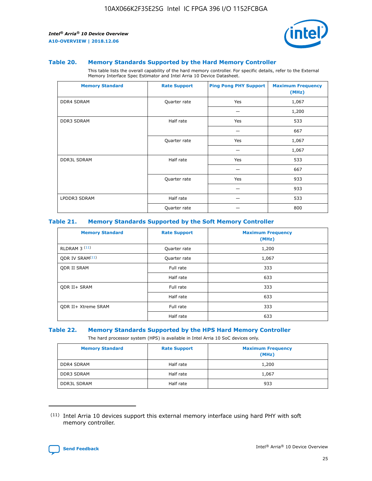

#### **Table 20. Memory Standards Supported by the Hard Memory Controller**

This table lists the overall capability of the hard memory controller. For specific details, refer to the External Memory Interface Spec Estimator and Intel Arria 10 Device Datasheet.

| <b>Memory Standard</b> | <b>Rate Support</b> | <b>Ping Pong PHY Support</b> | <b>Maximum Frequency</b><br>(MHz) |
|------------------------|---------------------|------------------------------|-----------------------------------|
| <b>DDR4 SDRAM</b>      | Quarter rate        | Yes                          | 1,067                             |
|                        |                     |                              | 1,200                             |
| DDR3 SDRAM             | Half rate           | Yes                          | 533                               |
|                        |                     |                              | 667                               |
|                        | Quarter rate        | Yes                          | 1,067                             |
|                        |                     |                              | 1,067                             |
| <b>DDR3L SDRAM</b>     | Half rate           | Yes                          | 533                               |
|                        |                     |                              | 667                               |
|                        | Quarter rate        | Yes                          | 933                               |
|                        |                     |                              | 933                               |
| LPDDR3 SDRAM           | Half rate           |                              | 533                               |
|                        | Quarter rate        |                              | 800                               |

## **Table 21. Memory Standards Supported by the Soft Memory Controller**

| <b>Memory Standard</b>      | <b>Rate Support</b> | <b>Maximum Frequency</b><br>(MHz) |
|-----------------------------|---------------------|-----------------------------------|
| <b>RLDRAM 3 (11)</b>        | Quarter rate        | 1,200                             |
| ODR IV SRAM <sup>(11)</sup> | Quarter rate        | 1,067                             |
| <b>ODR II SRAM</b>          | Full rate           | 333                               |
|                             | Half rate           | 633                               |
| <b>ODR II+ SRAM</b>         | Full rate           | 333                               |
|                             | Half rate           | 633                               |
| <b>ODR II+ Xtreme SRAM</b>  | Full rate           | 333                               |
|                             | Half rate           | 633                               |

#### **Table 22. Memory Standards Supported by the HPS Hard Memory Controller**

The hard processor system (HPS) is available in Intel Arria 10 SoC devices only.

| <b>Memory Standard</b> | <b>Rate Support</b> | <b>Maximum Frequency</b><br>(MHz) |
|------------------------|---------------------|-----------------------------------|
| <b>DDR4 SDRAM</b>      | Half rate           | 1,200                             |
| <b>DDR3 SDRAM</b>      | Half rate           | 1,067                             |
| <b>DDR3L SDRAM</b>     | Half rate           | 933                               |

<sup>(11)</sup> Intel Arria 10 devices support this external memory interface using hard PHY with soft memory controller.

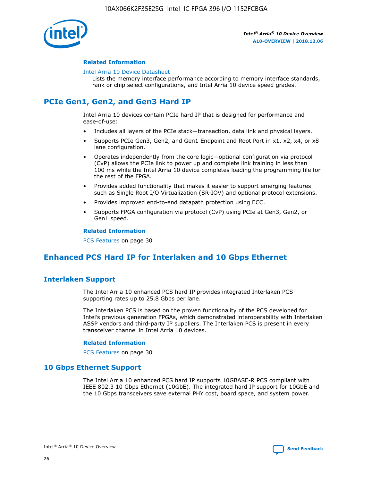

## **Related Information**

#### [Intel Arria 10 Device Datasheet](https://www.intel.com/content/www/us/en/programmable/documentation/mcn1413182292568.html#mcn1413182153340)

Lists the memory interface performance according to memory interface standards, rank or chip select configurations, and Intel Arria 10 device speed grades.

# **PCIe Gen1, Gen2, and Gen3 Hard IP**

Intel Arria 10 devices contain PCIe hard IP that is designed for performance and ease-of-use:

- Includes all layers of the PCIe stack—transaction, data link and physical layers.
- Supports PCIe Gen3, Gen2, and Gen1 Endpoint and Root Port in x1, x2, x4, or x8 lane configuration.
- Operates independently from the core logic—optional configuration via protocol (CvP) allows the PCIe link to power up and complete link training in less than 100 ms while the Intel Arria 10 device completes loading the programming file for the rest of the FPGA.
- Provides added functionality that makes it easier to support emerging features such as Single Root I/O Virtualization (SR-IOV) and optional protocol extensions.
- Provides improved end-to-end datapath protection using ECC.
- Supports FPGA configuration via protocol (CvP) using PCIe at Gen3, Gen2, or Gen1 speed.

#### **Related Information**

PCS Features on page 30

# **Enhanced PCS Hard IP for Interlaken and 10 Gbps Ethernet**

## **Interlaken Support**

The Intel Arria 10 enhanced PCS hard IP provides integrated Interlaken PCS supporting rates up to 25.8 Gbps per lane.

The Interlaken PCS is based on the proven functionality of the PCS developed for Intel's previous generation FPGAs, which demonstrated interoperability with Interlaken ASSP vendors and third-party IP suppliers. The Interlaken PCS is present in every transceiver channel in Intel Arria 10 devices.

## **Related Information**

PCS Features on page 30

## **10 Gbps Ethernet Support**

The Intel Arria 10 enhanced PCS hard IP supports 10GBASE-R PCS compliant with IEEE 802.3 10 Gbps Ethernet (10GbE). The integrated hard IP support for 10GbE and the 10 Gbps transceivers save external PHY cost, board space, and system power.

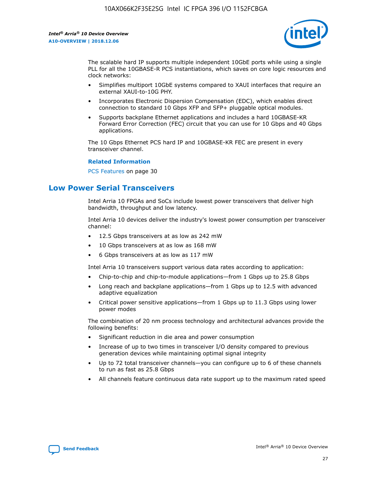

The scalable hard IP supports multiple independent 10GbE ports while using a single PLL for all the 10GBASE-R PCS instantiations, which saves on core logic resources and clock networks:

- Simplifies multiport 10GbE systems compared to XAUI interfaces that require an external XAUI-to-10G PHY.
- Incorporates Electronic Dispersion Compensation (EDC), which enables direct connection to standard 10 Gbps XFP and SFP+ pluggable optical modules.
- Supports backplane Ethernet applications and includes a hard 10GBASE-KR Forward Error Correction (FEC) circuit that you can use for 10 Gbps and 40 Gbps applications.

The 10 Gbps Ethernet PCS hard IP and 10GBASE-KR FEC are present in every transceiver channel.

#### **Related Information**

PCS Features on page 30

# **Low Power Serial Transceivers**

Intel Arria 10 FPGAs and SoCs include lowest power transceivers that deliver high bandwidth, throughput and low latency.

Intel Arria 10 devices deliver the industry's lowest power consumption per transceiver channel:

- 12.5 Gbps transceivers at as low as 242 mW
- 10 Gbps transceivers at as low as 168 mW
- 6 Gbps transceivers at as low as 117 mW

Intel Arria 10 transceivers support various data rates according to application:

- Chip-to-chip and chip-to-module applications—from 1 Gbps up to 25.8 Gbps
- Long reach and backplane applications—from 1 Gbps up to 12.5 with advanced adaptive equalization
- Critical power sensitive applications—from 1 Gbps up to 11.3 Gbps using lower power modes

The combination of 20 nm process technology and architectural advances provide the following benefits:

- Significant reduction in die area and power consumption
- Increase of up to two times in transceiver I/O density compared to previous generation devices while maintaining optimal signal integrity
- Up to 72 total transceiver channels—you can configure up to 6 of these channels to run as fast as 25.8 Gbps
- All channels feature continuous data rate support up to the maximum rated speed

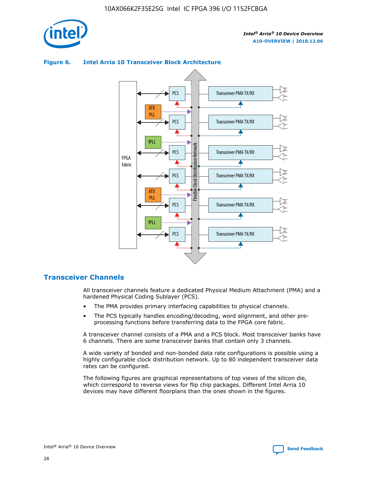



## **Figure 6. Intel Arria 10 Transceiver Block Architecture**

## **Transceiver Channels**

All transceiver channels feature a dedicated Physical Medium Attachment (PMA) and a hardened Physical Coding Sublayer (PCS).

- The PMA provides primary interfacing capabilities to physical channels.
- The PCS typically handles encoding/decoding, word alignment, and other preprocessing functions before transferring data to the FPGA core fabric.

A transceiver channel consists of a PMA and a PCS block. Most transceiver banks have 6 channels. There are some transceiver banks that contain only 3 channels.

A wide variety of bonded and non-bonded data rate configurations is possible using a highly configurable clock distribution network. Up to 80 independent transceiver data rates can be configured.

The following figures are graphical representations of top views of the silicon die, which correspond to reverse views for flip chip packages. Different Intel Arria 10 devices may have different floorplans than the ones shown in the figures.

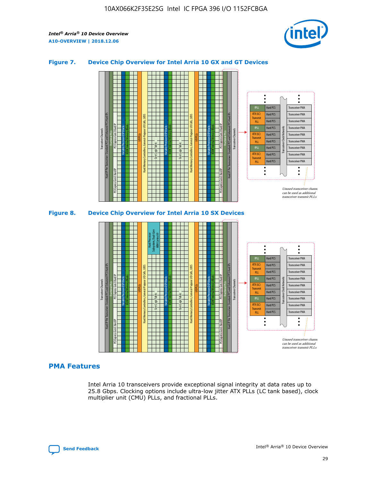

## **Figure 7. Device Chip Overview for Intel Arria 10 GX and GT Devices**





## **PMA Features**

Intel Arria 10 transceivers provide exceptional signal integrity at data rates up to 25.8 Gbps. Clocking options include ultra-low jitter ATX PLLs (LC tank based), clock multiplier unit (CMU) PLLs, and fractional PLLs.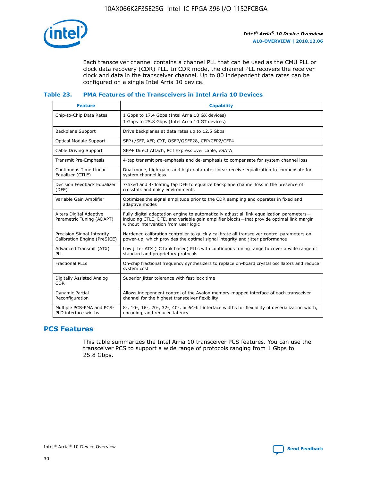

Each transceiver channel contains a channel PLL that can be used as the CMU PLL or clock data recovery (CDR) PLL. In CDR mode, the channel PLL recovers the receiver clock and data in the transceiver channel. Up to 80 independent data rates can be configured on a single Intel Arria 10 device.

## **Table 23. PMA Features of the Transceivers in Intel Arria 10 Devices**

| <b>Feature</b>                                             | <b>Capability</b>                                                                                                                                                                                                             |
|------------------------------------------------------------|-------------------------------------------------------------------------------------------------------------------------------------------------------------------------------------------------------------------------------|
| Chip-to-Chip Data Rates                                    | 1 Gbps to 17.4 Gbps (Intel Arria 10 GX devices)<br>1 Gbps to 25.8 Gbps (Intel Arria 10 GT devices)                                                                                                                            |
| Backplane Support                                          | Drive backplanes at data rates up to 12.5 Gbps                                                                                                                                                                                |
| <b>Optical Module Support</b>                              | SFP+/SFP, XFP, CXP, QSFP/QSFP28, CFP/CFP2/CFP4                                                                                                                                                                                |
| Cable Driving Support                                      | SFP+ Direct Attach, PCI Express over cable, eSATA                                                                                                                                                                             |
| Transmit Pre-Emphasis                                      | 4-tap transmit pre-emphasis and de-emphasis to compensate for system channel loss                                                                                                                                             |
| Continuous Time Linear<br>Equalizer (CTLE)                 | Dual mode, high-gain, and high-data rate, linear receive equalization to compensate for<br>system channel loss                                                                                                                |
| Decision Feedback Equalizer<br>(DFE)                       | 7-fixed and 4-floating tap DFE to equalize backplane channel loss in the presence of<br>crosstalk and noisy environments                                                                                                      |
| Variable Gain Amplifier                                    | Optimizes the signal amplitude prior to the CDR sampling and operates in fixed and<br>adaptive modes                                                                                                                          |
| Altera Digital Adaptive<br>Parametric Tuning (ADAPT)       | Fully digital adaptation engine to automatically adjust all link equalization parameters-<br>including CTLE, DFE, and variable gain amplifier blocks—that provide optimal link margin<br>without intervention from user logic |
| Precision Signal Integrity<br>Calibration Engine (PreSICE) | Hardened calibration controller to quickly calibrate all transceiver control parameters on<br>power-up, which provides the optimal signal integrity and jitter performance                                                    |
| Advanced Transmit (ATX)<br><b>PLL</b>                      | Low jitter ATX (LC tank based) PLLs with continuous tuning range to cover a wide range of<br>standard and proprietary protocols                                                                                               |
| <b>Fractional PLLs</b>                                     | On-chip fractional frequency synthesizers to replace on-board crystal oscillators and reduce<br>system cost                                                                                                                   |
| Digitally Assisted Analog<br><b>CDR</b>                    | Superior jitter tolerance with fast lock time                                                                                                                                                                                 |
| Dynamic Partial<br>Reconfiguration                         | Allows independent control of the Avalon memory-mapped interface of each transceiver<br>channel for the highest transceiver flexibility                                                                                       |
| Multiple PCS-PMA and PCS-<br>PLD interface widths          | 8-, 10-, 16-, 20-, 32-, 40-, or 64-bit interface widths for flexibility of deserialization width,<br>encoding, and reduced latency                                                                                            |

## **PCS Features**

This table summarizes the Intel Arria 10 transceiver PCS features. You can use the transceiver PCS to support a wide range of protocols ranging from 1 Gbps to 25.8 Gbps.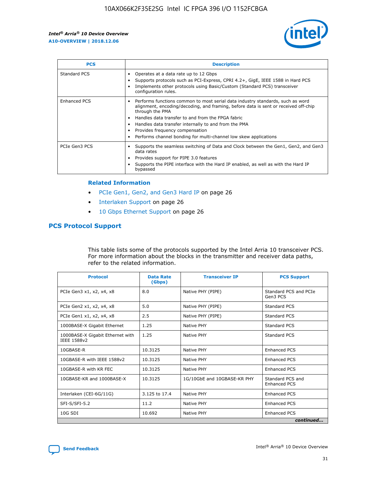

| <b>PCS</b>    | <b>Description</b>                                                                                                                                                                                                                                                                                                                                                                                             |
|---------------|----------------------------------------------------------------------------------------------------------------------------------------------------------------------------------------------------------------------------------------------------------------------------------------------------------------------------------------------------------------------------------------------------------------|
| Standard PCS  | Operates at a data rate up to 12 Gbps<br>Supports protocols such as PCI-Express, CPRI 4.2+, GigE, IEEE 1588 in Hard PCS<br>Implements other protocols using Basic/Custom (Standard PCS) transceiver<br>configuration rules.                                                                                                                                                                                    |
| Enhanced PCS  | Performs functions common to most serial data industry standards, such as word<br>alignment, encoding/decoding, and framing, before data is sent or received off-chip<br>through the PMA<br>• Handles data transfer to and from the FPGA fabric<br>Handles data transfer internally to and from the PMA<br>Provides frequency compensation<br>Performs channel bonding for multi-channel low skew applications |
| PCIe Gen3 PCS | Supports the seamless switching of Data and Clock between the Gen1, Gen2, and Gen3<br>data rates<br>Provides support for PIPE 3.0 features<br>Supports the PIPE interface with the Hard IP enabled, as well as with the Hard IP<br>bypassed                                                                                                                                                                    |

#### **Related Information**

- PCIe Gen1, Gen2, and Gen3 Hard IP on page 26
- Interlaken Support on page 26
- 10 Gbps Ethernet Support on page 26

## **PCS Protocol Support**

This table lists some of the protocols supported by the Intel Arria 10 transceiver PCS. For more information about the blocks in the transmitter and receiver data paths, refer to the related information.

| <b>Protocol</b>                                 | <b>Data Rate</b><br>(Gbps) | <b>Transceiver IP</b>       | <b>PCS Support</b>                      |
|-------------------------------------------------|----------------------------|-----------------------------|-----------------------------------------|
| PCIe Gen3 x1, x2, x4, x8                        | 8.0                        | Native PHY (PIPE)           | Standard PCS and PCIe<br>Gen3 PCS       |
| PCIe Gen2 x1, x2, x4, x8                        | 5.0                        | Native PHY (PIPE)           | <b>Standard PCS</b>                     |
| PCIe Gen1 x1, x2, x4, x8                        | 2.5                        | Native PHY (PIPE)           | Standard PCS                            |
| 1000BASE-X Gigabit Ethernet                     | 1.25                       | Native PHY                  | <b>Standard PCS</b>                     |
| 1000BASE-X Gigabit Ethernet with<br>IEEE 1588v2 | 1.25                       | Native PHY                  | Standard PCS                            |
| 10GBASE-R                                       | 10.3125                    | Native PHY                  | <b>Enhanced PCS</b>                     |
| 10GBASE-R with IEEE 1588v2                      | 10.3125                    | Native PHY                  | <b>Enhanced PCS</b>                     |
| 10GBASE-R with KR FEC                           | 10.3125                    | Native PHY                  | <b>Enhanced PCS</b>                     |
| 10GBASE-KR and 1000BASE-X                       | 10.3125                    | 1G/10GbE and 10GBASE-KR PHY | Standard PCS and<br><b>Enhanced PCS</b> |
| Interlaken (CEI-6G/11G)                         | 3.125 to 17.4              | Native PHY                  | <b>Enhanced PCS</b>                     |
| SFI-S/SFI-5.2                                   | 11.2                       | Native PHY                  | <b>Enhanced PCS</b>                     |
| $10G$ SDI                                       | 10.692                     | Native PHY                  | <b>Enhanced PCS</b>                     |
|                                                 |                            |                             | continued                               |

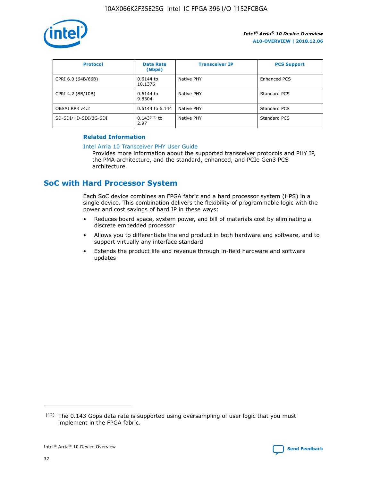

| <b>Protocol</b>      | <b>Data Rate</b><br>(Gbps) | <b>Transceiver IP</b> | <b>PCS Support</b> |
|----------------------|----------------------------|-----------------------|--------------------|
| CPRI 6.0 (64B/66B)   | 0.6144 to<br>10.1376       | Native PHY            | Enhanced PCS       |
| CPRI 4.2 (8B/10B)    | 0.6144 to<br>9.8304        | Native PHY            | Standard PCS       |
| OBSAI RP3 v4.2       | 0.6144 to 6.144            | Native PHY            | Standard PCS       |
| SD-SDI/HD-SDI/3G-SDI | $0.143(12)$ to<br>2.97     | Native PHY            | Standard PCS       |

## **Related Information**

#### [Intel Arria 10 Transceiver PHY User Guide](https://www.intel.com/content/www/us/en/programmable/documentation/nik1398707230472.html#nik1398707091164)

Provides more information about the supported transceiver protocols and PHY IP, the PMA architecture, and the standard, enhanced, and PCIe Gen3 PCS architecture.

# **SoC with Hard Processor System**

Each SoC device combines an FPGA fabric and a hard processor system (HPS) in a single device. This combination delivers the flexibility of programmable logic with the power and cost savings of hard IP in these ways:

- Reduces board space, system power, and bill of materials cost by eliminating a discrete embedded processor
- Allows you to differentiate the end product in both hardware and software, and to support virtually any interface standard
- Extends the product life and revenue through in-field hardware and software updates

<sup>(12)</sup> The 0.143 Gbps data rate is supported using oversampling of user logic that you must implement in the FPGA fabric.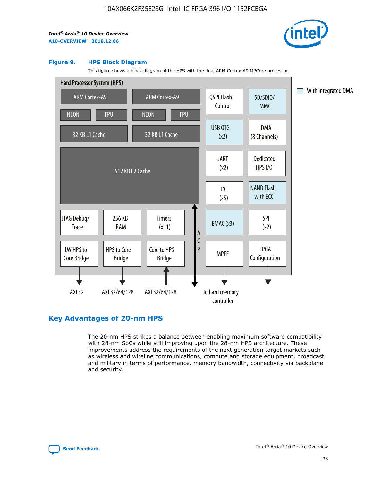

#### **Figure 9. HPS Block Diagram**

This figure shows a block diagram of the HPS with the dual ARM Cortex-A9 MPCore processor.



## **Key Advantages of 20-nm HPS**

The 20-nm HPS strikes a balance between enabling maximum software compatibility with 28-nm SoCs while still improving upon the 28-nm HPS architecture. These improvements address the requirements of the next generation target markets such as wireless and wireline communications, compute and storage equipment, broadcast and military in terms of performance, memory bandwidth, connectivity via backplane and security.

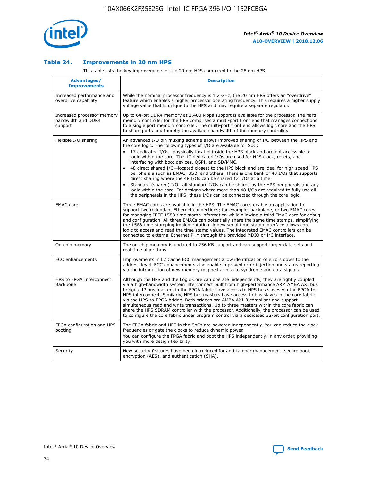

## **Table 24. Improvements in 20 nm HPS**

This table lists the key improvements of the 20 nm HPS compared to the 28 nm HPS.

| Advantages/<br><b>Improvements</b>                          | <b>Description</b>                                                                                                                                                                                                                                                                                                                                                                                                                                                                                                                                                                                                                                                                                                                                                                                                                                                                                                      |
|-------------------------------------------------------------|-------------------------------------------------------------------------------------------------------------------------------------------------------------------------------------------------------------------------------------------------------------------------------------------------------------------------------------------------------------------------------------------------------------------------------------------------------------------------------------------------------------------------------------------------------------------------------------------------------------------------------------------------------------------------------------------------------------------------------------------------------------------------------------------------------------------------------------------------------------------------------------------------------------------------|
| Increased performance and<br>overdrive capability           | While the nominal processor frequency is 1.2 GHz, the 20 nm HPS offers an "overdrive"<br>feature which enables a higher processor operating frequency. This requires a higher supply<br>voltage value that is unique to the HPS and may require a separate regulator.                                                                                                                                                                                                                                                                                                                                                                                                                                                                                                                                                                                                                                                   |
| Increased processor memory<br>bandwidth and DDR4<br>support | Up to 64-bit DDR4 memory at 2,400 Mbps support is available for the processor. The hard<br>memory controller for the HPS comprises a multi-port front end that manages connections<br>to a single port memory controller. The multi-port front end allows logic core and the HPS<br>to share ports and thereby the available bandwidth of the memory controller.                                                                                                                                                                                                                                                                                                                                                                                                                                                                                                                                                        |
| Flexible I/O sharing                                        | An advanced I/O pin muxing scheme allows improved sharing of I/O between the HPS and<br>the core logic. The following types of I/O are available for SoC:<br>17 dedicated I/Os-physically located inside the HPS block and are not accessible to<br>logic within the core. The 17 dedicated I/Os are used for HPS clock, resets, and<br>interfacing with boot devices, QSPI, and SD/MMC.<br>48 direct shared I/O-located closest to the HPS block and are ideal for high speed HPS<br>peripherals such as EMAC, USB, and others. There is one bank of 48 I/Os that supports<br>direct sharing where the 48 I/Os can be shared 12 I/Os at a time.<br>Standard (shared) I/O-all standard I/Os can be shared by the HPS peripherals and any<br>logic within the core. For designs where more than 48 I/Os are reguired to fully use all<br>the peripherals in the HPS, these I/Os can be connected through the core logic. |
| <b>EMAC</b> core                                            | Three EMAC cores are available in the HPS. The EMAC cores enable an application to<br>support two redundant Ethernet connections; for example, backplane, or two EMAC cores<br>for managing IEEE 1588 time stamp information while allowing a third EMAC core for debug<br>and configuration. All three EMACs can potentially share the same time stamps, simplifying<br>the 1588 time stamping implementation. A new serial time stamp interface allows core<br>logic to access and read the time stamp values. The integrated EMAC controllers can be<br>connected to external Ethernet PHY through the provided MDIO or I <sup>2</sup> C interface.                                                                                                                                                                                                                                                                  |
| On-chip memory                                              | The on-chip memory is updated to 256 KB support and can support larger data sets and<br>real time algorithms.                                                                                                                                                                                                                                                                                                                                                                                                                                                                                                                                                                                                                                                                                                                                                                                                           |
| <b>ECC</b> enhancements                                     | Improvements in L2 Cache ECC management allow identification of errors down to the<br>address level. ECC enhancements also enable improved error injection and status reporting<br>via the introduction of new memory mapped access to syndrome and data signals.                                                                                                                                                                                                                                                                                                                                                                                                                                                                                                                                                                                                                                                       |
| HPS to FPGA Interconnect<br>Backbone                        | Although the HPS and the Logic Core can operate independently, they are tightly coupled<br>via a high-bandwidth system interconnect built from high-performance ARM AMBA AXI bus<br>bridges. IP bus masters in the FPGA fabric have access to HPS bus slaves via the FPGA-to-<br>HPS interconnect. Similarly, HPS bus masters have access to bus slaves in the core fabric<br>via the HPS-to-FPGA bridge. Both bridges are AMBA AXI-3 compliant and support<br>simultaneous read and write transactions. Up to three masters within the core fabric can<br>share the HPS SDRAM controller with the processor. Additionally, the processor can be used<br>to configure the core fabric under program control via a dedicated 32-bit configuration port.                                                                                                                                                                  |
| FPGA configuration and HPS<br>booting                       | The FPGA fabric and HPS in the SoCs are powered independently. You can reduce the clock<br>frequencies or gate the clocks to reduce dynamic power.<br>You can configure the FPGA fabric and boot the HPS independently, in any order, providing<br>you with more design flexibility.                                                                                                                                                                                                                                                                                                                                                                                                                                                                                                                                                                                                                                    |
| Security                                                    | New security features have been introduced for anti-tamper management, secure boot,<br>encryption (AES), and authentication (SHA).                                                                                                                                                                                                                                                                                                                                                                                                                                                                                                                                                                                                                                                                                                                                                                                      |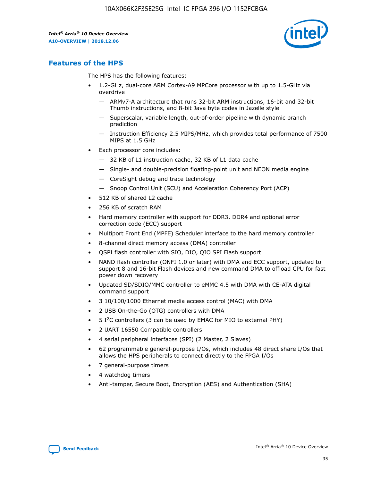

## **Features of the HPS**

The HPS has the following features:

- 1.2-GHz, dual-core ARM Cortex-A9 MPCore processor with up to 1.5-GHz via overdrive
	- ARMv7-A architecture that runs 32-bit ARM instructions, 16-bit and 32-bit Thumb instructions, and 8-bit Java byte codes in Jazelle style
	- Superscalar, variable length, out-of-order pipeline with dynamic branch prediction
	- Instruction Efficiency 2.5 MIPS/MHz, which provides total performance of 7500 MIPS at 1.5 GHz
- Each processor core includes:
	- 32 KB of L1 instruction cache, 32 KB of L1 data cache
	- Single- and double-precision floating-point unit and NEON media engine
	- CoreSight debug and trace technology
	- Snoop Control Unit (SCU) and Acceleration Coherency Port (ACP)
- 512 KB of shared L2 cache
- 256 KB of scratch RAM
- Hard memory controller with support for DDR3, DDR4 and optional error correction code (ECC) support
- Multiport Front End (MPFE) Scheduler interface to the hard memory controller
- 8-channel direct memory access (DMA) controller
- QSPI flash controller with SIO, DIO, QIO SPI Flash support
- NAND flash controller (ONFI 1.0 or later) with DMA and ECC support, updated to support 8 and 16-bit Flash devices and new command DMA to offload CPU for fast power down recovery
- Updated SD/SDIO/MMC controller to eMMC 4.5 with DMA with CE-ATA digital command support
- 3 10/100/1000 Ethernet media access control (MAC) with DMA
- 2 USB On-the-Go (OTG) controllers with DMA
- $\bullet$  5 I<sup>2</sup>C controllers (3 can be used by EMAC for MIO to external PHY)
- 2 UART 16550 Compatible controllers
- 4 serial peripheral interfaces (SPI) (2 Master, 2 Slaves)
- 62 programmable general-purpose I/Os, which includes 48 direct share I/Os that allows the HPS peripherals to connect directly to the FPGA I/Os
- 7 general-purpose timers
- 4 watchdog timers
- Anti-tamper, Secure Boot, Encryption (AES) and Authentication (SHA)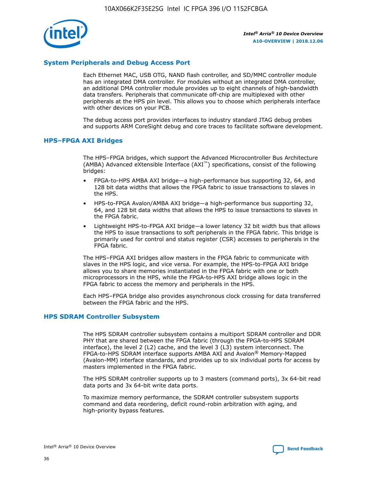

## **System Peripherals and Debug Access Port**

Each Ethernet MAC, USB OTG, NAND flash controller, and SD/MMC controller module has an integrated DMA controller. For modules without an integrated DMA controller, an additional DMA controller module provides up to eight channels of high-bandwidth data transfers. Peripherals that communicate off-chip are multiplexed with other peripherals at the HPS pin level. This allows you to choose which peripherals interface with other devices on your PCB.

The debug access port provides interfaces to industry standard JTAG debug probes and supports ARM CoreSight debug and core traces to facilitate software development.

#### **HPS–FPGA AXI Bridges**

The HPS–FPGA bridges, which support the Advanced Microcontroller Bus Architecture (AMBA) Advanced eXtensible Interface (AXI™) specifications, consist of the following bridges:

- FPGA-to-HPS AMBA AXI bridge—a high-performance bus supporting 32, 64, and 128 bit data widths that allows the FPGA fabric to issue transactions to slaves in the HPS.
- HPS-to-FPGA Avalon/AMBA AXI bridge—a high-performance bus supporting 32, 64, and 128 bit data widths that allows the HPS to issue transactions to slaves in the FPGA fabric.
- Lightweight HPS-to-FPGA AXI bridge—a lower latency 32 bit width bus that allows the HPS to issue transactions to soft peripherals in the FPGA fabric. This bridge is primarily used for control and status register (CSR) accesses to peripherals in the FPGA fabric.

The HPS–FPGA AXI bridges allow masters in the FPGA fabric to communicate with slaves in the HPS logic, and vice versa. For example, the HPS-to-FPGA AXI bridge allows you to share memories instantiated in the FPGA fabric with one or both microprocessors in the HPS, while the FPGA-to-HPS AXI bridge allows logic in the FPGA fabric to access the memory and peripherals in the HPS.

Each HPS–FPGA bridge also provides asynchronous clock crossing for data transferred between the FPGA fabric and the HPS.

#### **HPS SDRAM Controller Subsystem**

The HPS SDRAM controller subsystem contains a multiport SDRAM controller and DDR PHY that are shared between the FPGA fabric (through the FPGA-to-HPS SDRAM interface), the level 2 (L2) cache, and the level 3 (L3) system interconnect. The FPGA-to-HPS SDRAM interface supports AMBA AXI and Avalon® Memory-Mapped (Avalon-MM) interface standards, and provides up to six individual ports for access by masters implemented in the FPGA fabric.

The HPS SDRAM controller supports up to 3 masters (command ports), 3x 64-bit read data ports and 3x 64-bit write data ports.

To maximize memory performance, the SDRAM controller subsystem supports command and data reordering, deficit round-robin arbitration with aging, and high-priority bypass features.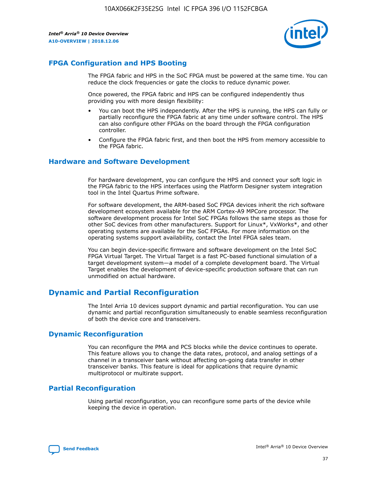

## **FPGA Configuration and HPS Booting**

The FPGA fabric and HPS in the SoC FPGA must be powered at the same time. You can reduce the clock frequencies or gate the clocks to reduce dynamic power.

Once powered, the FPGA fabric and HPS can be configured independently thus providing you with more design flexibility:

- You can boot the HPS independently. After the HPS is running, the HPS can fully or partially reconfigure the FPGA fabric at any time under software control. The HPS can also configure other FPGAs on the board through the FPGA configuration controller.
- Configure the FPGA fabric first, and then boot the HPS from memory accessible to the FPGA fabric.

## **Hardware and Software Development**

For hardware development, you can configure the HPS and connect your soft logic in the FPGA fabric to the HPS interfaces using the Platform Designer system integration tool in the Intel Quartus Prime software.

For software development, the ARM-based SoC FPGA devices inherit the rich software development ecosystem available for the ARM Cortex-A9 MPCore processor. The software development process for Intel SoC FPGAs follows the same steps as those for other SoC devices from other manufacturers. Support for Linux\*, VxWorks\*, and other operating systems are available for the SoC FPGAs. For more information on the operating systems support availability, contact the Intel FPGA sales team.

You can begin device-specific firmware and software development on the Intel SoC FPGA Virtual Target. The Virtual Target is a fast PC-based functional simulation of a target development system—a model of a complete development board. The Virtual Target enables the development of device-specific production software that can run unmodified on actual hardware.

## **Dynamic and Partial Reconfiguration**

The Intel Arria 10 devices support dynamic and partial reconfiguration. You can use dynamic and partial reconfiguration simultaneously to enable seamless reconfiguration of both the device core and transceivers.

## **Dynamic Reconfiguration**

You can reconfigure the PMA and PCS blocks while the device continues to operate. This feature allows you to change the data rates, protocol, and analog settings of a channel in a transceiver bank without affecting on-going data transfer in other transceiver banks. This feature is ideal for applications that require dynamic multiprotocol or multirate support.

## **Partial Reconfiguration**

Using partial reconfiguration, you can reconfigure some parts of the device while keeping the device in operation.

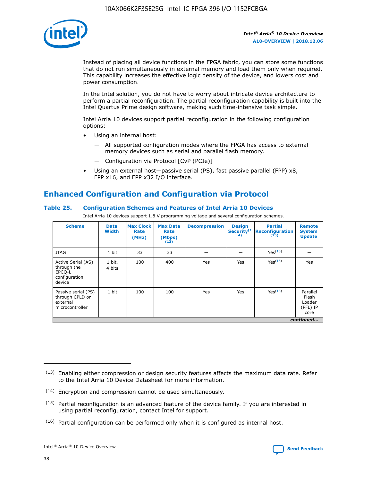

Instead of placing all device functions in the FPGA fabric, you can store some functions that do not run simultaneously in external memory and load them only when required. This capability increases the effective logic density of the device, and lowers cost and power consumption.

In the Intel solution, you do not have to worry about intricate device architecture to perform a partial reconfiguration. The partial reconfiguration capability is built into the Intel Quartus Prime design software, making such time-intensive task simple.

Intel Arria 10 devices support partial reconfiguration in the following configuration options:

- Using an internal host:
	- All supported configuration modes where the FPGA has access to external memory devices such as serial and parallel flash memory.
	- Configuration via Protocol [CvP (PCIe)]
- Using an external host—passive serial (PS), fast passive parallel (FPP) x8, FPP x16, and FPP x32 I/O interface.

# **Enhanced Configuration and Configuration via Protocol**

## **Table 25. Configuration Schemes and Features of Intel Arria 10 Devices**

Intel Arria 10 devices support 1.8 V programming voltage and several configuration schemes.

| <b>Scheme</b>                                                          | <b>Data</b><br><b>Width</b> | <b>Max Clock</b><br>Rate<br>(MHz) | <b>Max Data</b><br>Rate<br>(Mbps)<br>(13) | <b>Decompression</b> | <b>Design</b><br>Security <sup>(1</sup><br>4) | <b>Partial</b><br>Reconfiguration<br>(15) | <b>Remote</b><br><b>System</b><br><b>Update</b> |
|------------------------------------------------------------------------|-----------------------------|-----------------------------------|-------------------------------------------|----------------------|-----------------------------------------------|-------------------------------------------|-------------------------------------------------|
| <b>JTAG</b>                                                            | 1 bit                       | 33                                | 33                                        |                      |                                               | Yes(16)                                   |                                                 |
| Active Serial (AS)<br>through the<br>EPCO-L<br>configuration<br>device | 1 bit,<br>4 bits            | 100                               | 400                                       | Yes                  | Yes                                           | Yes(16)                                   | Yes                                             |
| Passive serial (PS)<br>through CPLD or<br>external<br>microcontroller  | 1 bit                       | 100                               | 100                                       | Yes                  | Yes                                           | Yes <sup>(16)</sup>                       | Parallel<br>Flash<br>Loader<br>(PFL) IP<br>core |
|                                                                        |                             |                                   |                                           |                      |                                               |                                           | continued                                       |

<sup>(13)</sup> Enabling either compression or design security features affects the maximum data rate. Refer to the Intel Arria 10 Device Datasheet for more information.

<sup>(14)</sup> Encryption and compression cannot be used simultaneously.

 $(15)$  Partial reconfiguration is an advanced feature of the device family. If you are interested in using partial reconfiguration, contact Intel for support.

 $(16)$  Partial configuration can be performed only when it is configured as internal host.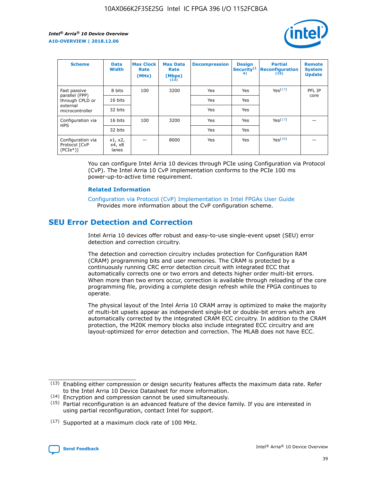

| <b>Scheme</b>                                   | <b>Data</b><br><b>Width</b> | <b>Max Clock</b><br>Rate<br>(MHz) | <b>Max Data</b><br>Rate<br>(Mbps)<br>(13) | <b>Decompression</b> | <b>Design</b><br>Security <sup>(1</sup><br>4) | <b>Partial</b><br><b>Reconfiguration</b><br>(15) | <b>Remote</b><br><b>System</b><br><b>Update</b> |
|-------------------------------------------------|-----------------------------|-----------------------------------|-------------------------------------------|----------------------|-----------------------------------------------|--------------------------------------------------|-------------------------------------------------|
| Fast passive                                    | 8 bits                      | 100                               | 3200                                      | Yes                  | Yes                                           | Yes(17)                                          | PFL IP                                          |
| parallel (FPP)<br>through CPLD or               | 16 bits                     |                                   |                                           | Yes                  | Yes                                           |                                                  | core                                            |
| external<br>microcontroller                     | 32 bits                     |                                   |                                           | Yes                  | Yes                                           |                                                  |                                                 |
| Configuration via                               | 16 bits                     | 100                               | 3200                                      | Yes                  | Yes                                           | Yes <sup>(17)</sup>                              |                                                 |
| <b>HPS</b>                                      | 32 bits                     |                                   |                                           | Yes                  | Yes                                           |                                                  |                                                 |
| Configuration via<br>Protocol [CvP<br>$(PCIe*)$ | x1, x2,<br>x4, x8<br>lanes  |                                   | 8000                                      | Yes                  | Yes                                           | Yes <sup>(16)</sup>                              |                                                 |

You can configure Intel Arria 10 devices through PCIe using Configuration via Protocol (CvP). The Intel Arria 10 CvP implementation conforms to the PCIe 100 ms power-up-to-active time requirement.

## **Related Information**

[Configuration via Protocol \(CvP\) Implementation in Intel FPGAs User Guide](https://www.intel.com/content/www/us/en/programmable/documentation/dsu1441819344145.html#dsu1442269728522) Provides more information about the CvP configuration scheme.

# **SEU Error Detection and Correction**

Intel Arria 10 devices offer robust and easy-to-use single-event upset (SEU) error detection and correction circuitry.

The detection and correction circuitry includes protection for Configuration RAM (CRAM) programming bits and user memories. The CRAM is protected by a continuously running CRC error detection circuit with integrated ECC that automatically corrects one or two errors and detects higher order multi-bit errors. When more than two errors occur, correction is available through reloading of the core programming file, providing a complete design refresh while the FPGA continues to operate.

The physical layout of the Intel Arria 10 CRAM array is optimized to make the majority of multi-bit upsets appear as independent single-bit or double-bit errors which are automatically corrected by the integrated CRAM ECC circuitry. In addition to the CRAM protection, the M20K memory blocks also include integrated ECC circuitry and are layout-optimized for error detection and correction. The MLAB does not have ECC.

(14) Encryption and compression cannot be used simultaneously.

<sup>(17)</sup> Supported at a maximum clock rate of 100 MHz.



 $(13)$  Enabling either compression or design security features affects the maximum data rate. Refer to the Intel Arria 10 Device Datasheet for more information.

 $(15)$  Partial reconfiguration is an advanced feature of the device family. If you are interested in using partial reconfiguration, contact Intel for support.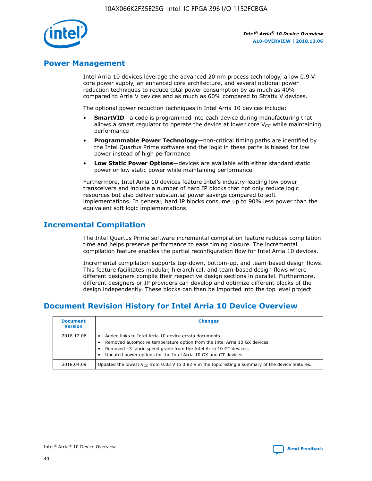

## **Power Management**

Intel Arria 10 devices leverage the advanced 20 nm process technology, a low 0.9 V core power supply, an enhanced core architecture, and several optional power reduction techniques to reduce total power consumption by as much as 40% compared to Arria V devices and as much as 60% compared to Stratix V devices.

The optional power reduction techniques in Intel Arria 10 devices include:

- **SmartVID**—a code is programmed into each device during manufacturing that allows a smart regulator to operate the device at lower core  $V_{CC}$  while maintaining performance
- **Programmable Power Technology**—non-critical timing paths are identified by the Intel Quartus Prime software and the logic in these paths is biased for low power instead of high performance
- **Low Static Power Options**—devices are available with either standard static power or low static power while maintaining performance

Furthermore, Intel Arria 10 devices feature Intel's industry-leading low power transceivers and include a number of hard IP blocks that not only reduce logic resources but also deliver substantial power savings compared to soft implementations. In general, hard IP blocks consume up to 90% less power than the equivalent soft logic implementations.

# **Incremental Compilation**

The Intel Quartus Prime software incremental compilation feature reduces compilation time and helps preserve performance to ease timing closure. The incremental compilation feature enables the partial reconfiguration flow for Intel Arria 10 devices.

Incremental compilation supports top-down, bottom-up, and team-based design flows. This feature facilitates modular, hierarchical, and team-based design flows where different designers compile their respective design sections in parallel. Furthermore, different designers or IP providers can develop and optimize different blocks of the design independently. These blocks can then be imported into the top level project.

# **Document Revision History for Intel Arria 10 Device Overview**

| <b>Document</b><br><b>Version</b> | <b>Changes</b>                                                                                                                                                                                                                                                              |
|-----------------------------------|-----------------------------------------------------------------------------------------------------------------------------------------------------------------------------------------------------------------------------------------------------------------------------|
| 2018.12.06                        | Added links to Intel Arria 10 device errata documents.<br>Removed automotive temperature option from the Intel Arria 10 GX devices.<br>Removed -3 fabric speed grade from the Intel Arria 10 GT devices.<br>Updated power options for the Intel Arria 10 GX and GT devices. |
| 2018.04.09                        | Updated the lowest $V_{CC}$ from 0.83 V to 0.82 V in the topic listing a summary of the device features.                                                                                                                                                                    |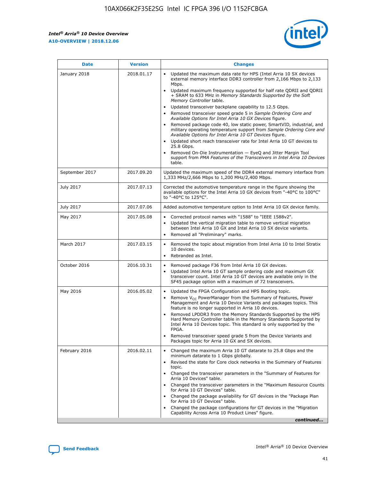$\mathsf{r}$ 



| January 2018<br>Updated the maximum data rate for HPS (Intel Arria 10 SX devices<br>2018.01.17<br>external memory interface DDR3 controller from 2,166 Mbps to 2,133<br>Mbps.<br>$\bullet$<br>+ SRAM to 633 MHz in Memory Standards Supported by the Soft<br>Memory Controller table.<br>Updated transceiver backplane capability to 12.5 Gbps.<br>$\bullet$<br>Removed transceiver speed grade 5 in Sample Ordering Core and<br>Available Options for Intel Arria 10 GX Devices figure.<br>Available Options for Intel Arria 10 GT Devices figure.<br>Updated short reach transceiver rate for Intel Arria 10 GT devices to<br>$\bullet$<br>25.8 Gbps.<br>Removed On-Die Instrumentation - EyeQ and Jitter Margin Tool<br>table.<br>2017.09.20<br>September 2017<br>1,333 MHz/2,666 Mbps to 1,200 MHz/2,400 Mbps.<br>July 2017<br>2017.07.13<br>Corrected the automotive temperature range in the figure showing the<br>available options for the Intel Arria 10 GX devices from "-40°C to 100°C"<br>to "-40°C to 125°C".<br>July 2017<br>2017.07.06<br>Added automotive temperature option to Intel Arria 10 GX device family.<br>2017.05.08<br>Corrected protocol names with "1588" to "IEEE 1588v2".<br>May 2017<br>$\bullet$<br>Updated the vertical migration table to remove vertical migration<br>$\bullet$<br>between Intel Arria 10 GX and Intel Arria 10 SX device variants.<br>Removed all "Preliminary" marks.<br>2017.03.15<br>March 2017<br>Removed the topic about migration from Intel Arria 10 to Intel Stratix<br>10 devices.<br>Rebranded as Intel.<br>$\bullet$<br>October 2016<br>2016.10.31<br>Removed package F36 from Intel Arria 10 GX devices.<br>$\bullet$<br>Updated Intel Arria 10 GT sample ordering code and maximum GX<br>$\bullet$<br>transceiver count. Intel Arria 10 GT devices are available only in the<br>SF45 package option with a maximum of 72 transceivers.<br>May 2016<br>2016.05.02<br>Updated the FPGA Configuration and HPS Booting topic.<br>Remove $V_{CC}$ PowerManager from the Summary of Features, Power<br>Management and Arria 10 Device Variants and packages topics. This<br>feature is no longer supported in Arria 10 devices.<br>Removed LPDDR3 from the Memory Standards Supported by the HPS<br>Hard Memory Controller table in the Memory Standards Supported by<br>Intel Arria 10 Devices topic. This standard is only supported by the<br>FPGA.<br>Removed transceiver speed grade 5 from the Device Variants and<br>Packages topic for Arria 10 GX and SX devices.<br>Changed the maximum Arria 10 GT datarate to 25.8 Gbps and the<br>February 2016<br>2016.02.11<br>minimum datarate to 1 Gbps globally.<br>Revised the state for Core clock networks in the Summary of Features<br>$\bullet$<br>topic.<br>• Changed the transceiver parameters in the "Summary of Features for<br>Arria 10 Devices" table.<br>for Arria 10 GT Devices" table.<br>• Changed the package availability for GT devices in the "Package Plan<br>for Arria 10 GT Devices" table.<br>Changed the package configurations for GT devices in the "Migration"<br>Capability Across Arria 10 Product Lines" figure. | <b>Date</b> | <b>Version</b> | <b>Changes</b>                                                                                                                                                                                                                                                                               |
|----------------------------------------------------------------------------------------------------------------------------------------------------------------------------------------------------------------------------------------------------------------------------------------------------------------------------------------------------------------------------------------------------------------------------------------------------------------------------------------------------------------------------------------------------------------------------------------------------------------------------------------------------------------------------------------------------------------------------------------------------------------------------------------------------------------------------------------------------------------------------------------------------------------------------------------------------------------------------------------------------------------------------------------------------------------------------------------------------------------------------------------------------------------------------------------------------------------------------------------------------------------------------------------------------------------------------------------------------------------------------------------------------------------------------------------------------------------------------------------------------------------------------------------------------------------------------------------------------------------------------------------------------------------------------------------------------------------------------------------------------------------------------------------------------------------------------------------------------------------------------------------------------------------------------------------------------------------------------------------------------------------------------------------------------------------------------------------------------------------------------------------------------------------------------------------------------------------------------------------------------------------------------------------------------------------------------------------------------------------------------------------------------------------------------------------------------------------------------------------------------------------------------------------------------------------------------------------------------------------------------------------------------------------------------------------------------------------------------------------------------------------------------------------------------------------------------------------------------------------------------------------------------------------------------------------------------------------------------------------------------------------------------------------------------------------------------------------------------------------------------------------------------------------|-------------|----------------|----------------------------------------------------------------------------------------------------------------------------------------------------------------------------------------------------------------------------------------------------------------------------------------------|
|                                                                                                                                                                                                                                                                                                                                                                                                                                                                                                                                                                                                                                                                                                                                                                                                                                                                                                                                                                                                                                                                                                                                                                                                                                                                                                                                                                                                                                                                                                                                                                                                                                                                                                                                                                                                                                                                                                                                                                                                                                                                                                                                                                                                                                                                                                                                                                                                                                                                                                                                                                                                                                                                                                                                                                                                                                                                                                                                                                                                                                                                                                                                                                |             |                | Updated maximum frequency supported for half rate QDRII and QDRII<br>Removed package code 40, low static power, SmartVID, industrial, and<br>military operating temperature support from Sample Ordering Core and<br>support from PMA Features of the Transceivers in Intel Arria 10 Devices |
|                                                                                                                                                                                                                                                                                                                                                                                                                                                                                                                                                                                                                                                                                                                                                                                                                                                                                                                                                                                                                                                                                                                                                                                                                                                                                                                                                                                                                                                                                                                                                                                                                                                                                                                                                                                                                                                                                                                                                                                                                                                                                                                                                                                                                                                                                                                                                                                                                                                                                                                                                                                                                                                                                                                                                                                                                                                                                                                                                                                                                                                                                                                                                                |             |                | Updated the maximum speed of the DDR4 external memory interface from                                                                                                                                                                                                                         |
|                                                                                                                                                                                                                                                                                                                                                                                                                                                                                                                                                                                                                                                                                                                                                                                                                                                                                                                                                                                                                                                                                                                                                                                                                                                                                                                                                                                                                                                                                                                                                                                                                                                                                                                                                                                                                                                                                                                                                                                                                                                                                                                                                                                                                                                                                                                                                                                                                                                                                                                                                                                                                                                                                                                                                                                                                                                                                                                                                                                                                                                                                                                                                                |             |                |                                                                                                                                                                                                                                                                                              |
|                                                                                                                                                                                                                                                                                                                                                                                                                                                                                                                                                                                                                                                                                                                                                                                                                                                                                                                                                                                                                                                                                                                                                                                                                                                                                                                                                                                                                                                                                                                                                                                                                                                                                                                                                                                                                                                                                                                                                                                                                                                                                                                                                                                                                                                                                                                                                                                                                                                                                                                                                                                                                                                                                                                                                                                                                                                                                                                                                                                                                                                                                                                                                                |             |                |                                                                                                                                                                                                                                                                                              |
|                                                                                                                                                                                                                                                                                                                                                                                                                                                                                                                                                                                                                                                                                                                                                                                                                                                                                                                                                                                                                                                                                                                                                                                                                                                                                                                                                                                                                                                                                                                                                                                                                                                                                                                                                                                                                                                                                                                                                                                                                                                                                                                                                                                                                                                                                                                                                                                                                                                                                                                                                                                                                                                                                                                                                                                                                                                                                                                                                                                                                                                                                                                                                                |             |                |                                                                                                                                                                                                                                                                                              |
|                                                                                                                                                                                                                                                                                                                                                                                                                                                                                                                                                                                                                                                                                                                                                                                                                                                                                                                                                                                                                                                                                                                                                                                                                                                                                                                                                                                                                                                                                                                                                                                                                                                                                                                                                                                                                                                                                                                                                                                                                                                                                                                                                                                                                                                                                                                                                                                                                                                                                                                                                                                                                                                                                                                                                                                                                                                                                                                                                                                                                                                                                                                                                                |             |                |                                                                                                                                                                                                                                                                                              |
|                                                                                                                                                                                                                                                                                                                                                                                                                                                                                                                                                                                                                                                                                                                                                                                                                                                                                                                                                                                                                                                                                                                                                                                                                                                                                                                                                                                                                                                                                                                                                                                                                                                                                                                                                                                                                                                                                                                                                                                                                                                                                                                                                                                                                                                                                                                                                                                                                                                                                                                                                                                                                                                                                                                                                                                                                                                                                                                                                                                                                                                                                                                                                                |             |                |                                                                                                                                                                                                                                                                                              |
|                                                                                                                                                                                                                                                                                                                                                                                                                                                                                                                                                                                                                                                                                                                                                                                                                                                                                                                                                                                                                                                                                                                                                                                                                                                                                                                                                                                                                                                                                                                                                                                                                                                                                                                                                                                                                                                                                                                                                                                                                                                                                                                                                                                                                                                                                                                                                                                                                                                                                                                                                                                                                                                                                                                                                                                                                                                                                                                                                                                                                                                                                                                                                                |             |                |                                                                                                                                                                                                                                                                                              |
|                                                                                                                                                                                                                                                                                                                                                                                                                                                                                                                                                                                                                                                                                                                                                                                                                                                                                                                                                                                                                                                                                                                                                                                                                                                                                                                                                                                                                                                                                                                                                                                                                                                                                                                                                                                                                                                                                                                                                                                                                                                                                                                                                                                                                                                                                                                                                                                                                                                                                                                                                                                                                                                                                                                                                                                                                                                                                                                                                                                                                                                                                                                                                                |             |                | Changed the transceiver parameters in the "Maximum Resource Counts"<br>continued                                                                                                                                                                                                             |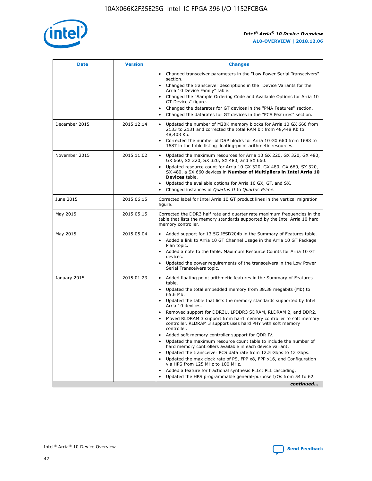

| <b>Date</b>   | <b>Version</b> | <b>Changes</b>                                                                                                                                                               |
|---------------|----------------|------------------------------------------------------------------------------------------------------------------------------------------------------------------------------|
|               |                | • Changed transceiver parameters in the "Low Power Serial Transceivers"<br>section.                                                                                          |
|               |                | • Changed the transceiver descriptions in the "Device Variants for the<br>Arria 10 Device Family" table.                                                                     |
|               |                | Changed the "Sample Ordering Code and Available Options for Arria 10<br>$\bullet$<br>GT Devices" figure.                                                                     |
|               |                | Changed the datarates for GT devices in the "PMA Features" section.                                                                                                          |
|               |                | Changed the datarates for GT devices in the "PCS Features" section.<br>$\bullet$                                                                                             |
| December 2015 | 2015.12.14     | Updated the number of M20K memory blocks for Arria 10 GX 660 from<br>2133 to 2131 and corrected the total RAM bit from 48,448 Kb to<br>48,408 Kb.                            |
|               |                | Corrected the number of DSP blocks for Arria 10 GX 660 from 1688 to<br>1687 in the table listing floating-point arithmetic resources.                                        |
| November 2015 | 2015.11.02     | Updated the maximum resources for Arria 10 GX 220, GX 320, GX 480,<br>$\bullet$<br>GX 660, SX 220, SX 320, SX 480, and SX 660.                                               |
|               |                | • Updated resource count for Arria 10 GX 320, GX 480, GX 660, SX 320,<br>SX 480, a SX 660 devices in Number of Multipliers in Intel Arria 10<br><b>Devices</b> table.        |
|               |                | Updated the available options for Arria 10 GX, GT, and SX.                                                                                                                   |
|               |                | Changed instances of Quartus II to Quartus Prime.<br>$\bullet$                                                                                                               |
| June 2015     | 2015.06.15     | Corrected label for Intel Arria 10 GT product lines in the vertical migration<br>figure.                                                                                     |
| May 2015      | 2015.05.15     | Corrected the DDR3 half rate and quarter rate maximum frequencies in the<br>table that lists the memory standards supported by the Intel Arria 10 hard<br>memory controller. |
| May 2015      | 2015.05.04     | • Added support for 13.5G JESD204b in the Summary of Features table.                                                                                                         |
|               |                | • Added a link to Arria 10 GT Channel Usage in the Arria 10 GT Package<br>Plan topic.                                                                                        |
|               |                | • Added a note to the table, Maximum Resource Counts for Arria 10 GT<br>devices.                                                                                             |
|               |                | • Updated the power requirements of the transceivers in the Low Power<br>Serial Transceivers topic.                                                                          |
| January 2015  | 2015.01.23     | • Added floating point arithmetic features in the Summary of Features<br>table.                                                                                              |
|               |                | • Updated the total embedded memory from 38.38 megabits (Mb) to<br>65.6 Mb.                                                                                                  |
|               |                | • Updated the table that lists the memory standards supported by Intel<br>Arria 10 devices.                                                                                  |
|               |                | Removed support for DDR3U, LPDDR3 SDRAM, RLDRAM 2, and DDR2.                                                                                                                 |
|               |                | Moved RLDRAM 3 support from hard memory controller to soft memory<br>controller. RLDRAM 3 support uses hard PHY with soft memory<br>controller.                              |
|               |                | Added soft memory controller support for QDR IV.<br>٠                                                                                                                        |
|               |                | Updated the maximum resource count table to include the number of<br>hard memory controllers available in each device variant.                                               |
|               |                | Updated the transceiver PCS data rate from 12.5 Gbps to 12 Gbps.<br>$\bullet$                                                                                                |
|               |                | Updated the max clock rate of PS, FPP x8, FPP x16, and Configuration<br>via HPS from 125 MHz to 100 MHz.                                                                     |
|               |                | Added a feature for fractional synthesis PLLs: PLL cascading.                                                                                                                |
|               |                | Updated the HPS programmable general-purpose I/Os from 54 to 62.<br>$\bullet$                                                                                                |
|               |                | continued                                                                                                                                                                    |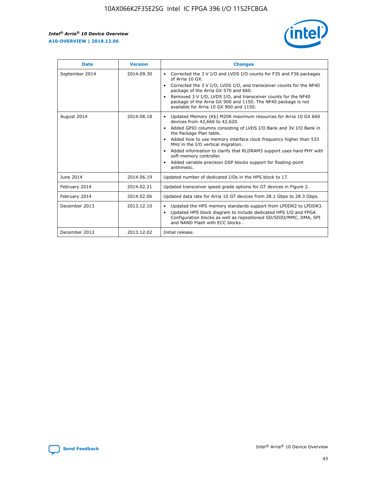

| <b>Date</b>    | <b>Version</b> | <b>Changes</b>                                                                                                                                                                                                                                                                                                                                                                                                                                                                                                                                      |
|----------------|----------------|-----------------------------------------------------------------------------------------------------------------------------------------------------------------------------------------------------------------------------------------------------------------------------------------------------------------------------------------------------------------------------------------------------------------------------------------------------------------------------------------------------------------------------------------------------|
| September 2014 | 2014.09.30     | Corrected the 3 V I/O and LVDS I/O counts for F35 and F36 packages<br>$\bullet$<br>of Arria 10 GX.<br>Corrected the 3 V I/O, LVDS I/O, and transceiver counts for the NF40<br>$\bullet$<br>package of the Arria GX 570 and 660.<br>Removed 3 V I/O, LVDS I/O, and transceiver counts for the NF40<br>$\bullet$<br>package of the Arria GX 900 and 1150. The NF40 package is not<br>available for Arria 10 GX 900 and 1150.                                                                                                                          |
| August 2014    | 2014.08.18     | Updated Memory (Kb) M20K maximum resources for Arria 10 GX 660<br>devices from 42,660 to 42,620.<br>Added GPIO columns consisting of LVDS I/O Bank and 3V I/O Bank in<br>$\bullet$<br>the Package Plan table.<br>Added how to use memory interface clock frequency higher than 533<br>$\bullet$<br>MHz in the I/O vertical migration.<br>Added information to clarify that RLDRAM3 support uses hard PHY with<br>$\bullet$<br>soft memory controller.<br>Added variable precision DSP blocks support for floating-point<br>$\bullet$<br>arithmetic. |
| June 2014      | 2014.06.19     | Updated number of dedicated I/Os in the HPS block to 17.                                                                                                                                                                                                                                                                                                                                                                                                                                                                                            |
| February 2014  | 2014.02.21     | Updated transceiver speed grade options for GT devices in Figure 2.                                                                                                                                                                                                                                                                                                                                                                                                                                                                                 |
| February 2014  | 2014.02.06     | Updated data rate for Arria 10 GT devices from 28.1 Gbps to 28.3 Gbps.                                                                                                                                                                                                                                                                                                                                                                                                                                                                              |
| December 2013  | 2013.12.10     | Updated the HPS memory standards support from LPDDR2 to LPDDR3.<br>Updated HPS block diagram to include dedicated HPS I/O and FPGA<br>$\bullet$<br>Configuration blocks as well as repositioned SD/SDIO/MMC, DMA, SPI<br>and NAND Flash with ECC blocks.                                                                                                                                                                                                                                                                                            |
| December 2013  | 2013.12.02     | Initial release.                                                                                                                                                                                                                                                                                                                                                                                                                                                                                                                                    |